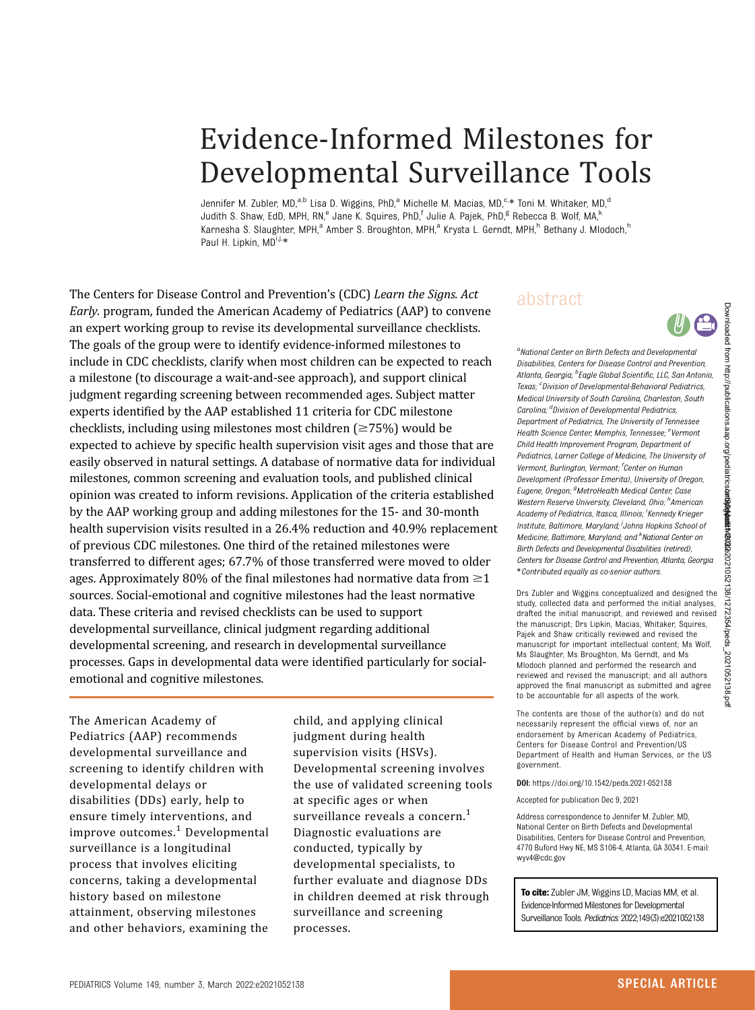# Evidence-Informed Milestones for Developmental Surveillance Tools

Jennifer M. Zubler, MD,<sup>a,b</sup> Lisa D. Wiggins, PhD,<sup>a</sup> Michelle M. Macias, MD,<sup>c,\*</sup> Toni M. Whitaker, MD,<sup>d</sup> Judith S. Shaw, EdD, MPH, RN,<sup>e</sup> Jane K. Squires, PhD,<sup>f</sup> Julie A. Pajek, PhD,<sup>g</sup> Rebecca B. Wolf, MA,<sup>k</sup> Karnesha S. Slaughter, MPH,<sup>a</sup> Amber S. Broughton, MPH,<sup>a</sup> Krysta L. Gerndt, MPH,<sup>h</sup> Bethany J. Mlodoch,<sup>h</sup> Paul H. Lipkin, MD<sup>i,j,\*</sup>

The Centers for Disease Control and Prevention's (CDC) Learn the Signs. Act Early. program, funded the American Academy of Pediatrics (AAP) to convene an expert working group to revise its developmental surveillance checklists. The goals of the group were to identify evidence-informed milestones to include in CDC checklists, clarify when most children can be expected to reach a milestone (to discourage a wait-and-see approach), and support clinical judgment regarding screening between recommended ages. Subject matter experts identified by the AAP established 11 criteria for CDC milestone checklists, including using milestones most children  $\approx 75\%$ ) would be expected to achieve by specific health supervision visit ages and those that are easily observed in natural settings. A database of normative data for individual milestones, common screening and evaluation tools, and published clinical opinion was created to inform revisions. Application of the criteria established by the AAP working group and adding milestones for the 15- and 30-month health supervision visits resulted in a 26.4% reduction and 40.9% replacement of previous CDC milestones. One third of the retained milestones were transferred to different ages; 67.7% of those transferred were moved to older ages. Approximately 80% of the final milestones had normative data from  $\geq 1$ sources. Social-emotional and cognitive milestones had the least normative data. These criteria and revised checklists can be used to support developmental surveillance, clinical judgment regarding additional developmental screening, and research in developmental surveillance processes. Gaps in developmental data were identified particularly for socialemotional and cognitive milestones.

The American Academy of Pediatrics (AAP) recommends developmental surveillance and screening to identify children with developmental delays or disabilities (DDs) early, help to ensure timely interventions, and improve outcomes.<sup>[1](#page-26-0)</sup> Developmental surveillance is a longitudinal process that involves eliciting concerns, taking a developmental history based on milestone attainment, observing milestones and other behaviors, examining the

child, and applying clinical judgment during health supervision visits (HSVs). Developmental screening involves the use of validated screening tools at specific ages or when surveillance reveals a concern.<sup>[1](#page-26-0)</sup> Diagnostic evaluations are conducted, typically by developmental specialists, to further evaluate and diagnose DDs in children deemed at risk through surveillance and screening processes.

# abstract

<sup>a</sup>National Center on Birth Defects and Developmenta Disabilities, Centers for Disease Control and Prevention, Atlanta, Georgia; <sup>b</sup>Eagle Global Scientific, LLC, San Antonio Texas; <sup>c</sup>Division of Developmental-Behavioral Pediatrics Medical University of South Carolina, Charleston, South Carolina; <sup>d</sup>Division of Developmental Pediatrics Department of Pediatrics, The University of Tennessee Health Science Center, Memphis, Tennessee; <sup>e</sup>Vermon Child Health Improvement Program, Department of Pediatrics, Larner College of Medicine, The University of Vermont, Burlington, Vermont; <sup>f</sup>Center on Humar Development (Professor Emerita), University of Oregon, Eugene, Oregon; <sup>g</sup>MetroHealth Medical Center, Case Western Reserve University, Cleveland, Ohio; <sup>h</sup>American Academy of Pediatrics, Itasca, Illinois; 'Kennedy Krieger Institute, Baltimore, Maryland; Johns Hopkins School of Medicine, Baltimore, Maryland; and <sup>k</sup>National Center or Birth Defects and Developmental Disabilities (retired), Centers for Disease Control and Prevention, Atlanta, Georgia \*Contributed equally as co-senior authors.

Drs Zubler and Wiggins conceptualized and designed the study, collected data and performed the initial analyses, drafted the initial manuscript, and reviewed and revised the manuscript: Drs Lipkin, Macias, Whitaker, Squires, Pajek and Shaw critically reviewed and revised the manuscript for important intellectual content; Ms Wolf, Ms Slaughter, Ms Broughton, Ms Gerndt, and Ms Mlodoch planned and performed the research and reviewed and revised the manuscript; and all authors approved the final manuscript as submitted and agree to be accountable for all aspects of the work.

The contents are those of the author(s) and do not necessarily represent the official views of, nor an endorsement by American Academy of Pediatrics, Centers for Disease Control and Prevention/US Department of Health and Human Services, or the US government.

DOI: <https://doi.org/10.1542/peds.2021-052138>

Accepted for publication Dec 9, 2021

Address correspondence to Jennifer M. Zubler, MD, National Center on Birth Defects and Developmental Disabilities, Centers for Disease Control and Prevention, 4770 Buford Hwy NE, MS S106-4, Atlanta, GA 30341. E-mail: [wyv4@cdc.gov](mailto:wyv4@cdc.gov)

To cite: Zubler JM, Wiggins LD, Macias MM, et al. Evidence-Informed Milestones for Developmental Surveillance Tools. Pediatrics. 2022;149(3):e2021052138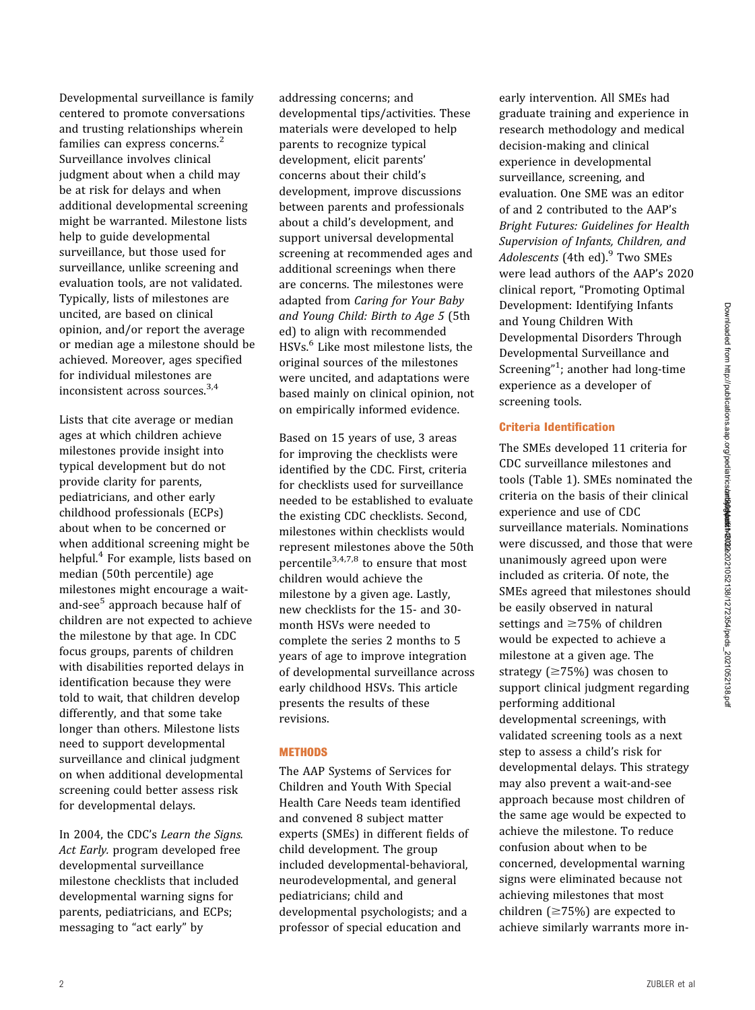Developmental surveillance is family centered to promote conversations and trusting relationships wherein families can express concerns.<sup>[2](#page-26-0)</sup> Surveillance involves clinical judgment about when a child may be at risk for delays and when additional developmental screening might be warranted. Milestone lists help to guide developmental surveillance, but those used for surveillance, unlike screening and evaluation tools, are not validated. Typically, lists of milestones are uncited, are based on clinical opinion, and/or report the average or median age a milestone should be achieved. Moreover, ages specified for individual milestones are inconsistent across sources.[3,4](#page-26-0)

Lists that cite average or median ages at which children achieve milestones provide insight into typical development but do not provide clarity for parents, pediatricians, and other early childhood professionals (ECPs) about when to be concerned or when additional screening might be helpful.<sup>[4](#page-26-0)</sup> For example, lists based on median (50th percentile) age milestones might encourage a wait-and-see<sup>[5](#page-26-0)</sup> approach because half of children are not expected to achieve the milestone by that age. In CDC focus groups, parents of children with disabilities reported delays in identification because they were told to wait, that children develop differently, and that some take longer than others. Milestone lists need to support developmental surveillance and clinical judgment on when additional developmental screening could better assess risk for developmental delays.

In 2004, the CDC's Learn the Signs. Act Early. program developed free developmental surveillance milestone checklists that included developmental warning signs for parents, pediatricians, and ECPs; messaging to "act early" by

addressing concerns; and developmental tips/activities. These materials were developed to help parents to recognize typical development, elicit parents' concerns about their child's development, improve discussions between parents and professionals about a child's development, and support universal developmental screening at recommended ages and additional screenings when there are concerns. The milestones were adapted from Caring for Your Baby and Young Child: Birth to Age 5 (5th ed) to align with recommended HSVs.<sup>[6](#page-26-0)</sup> Like most milestone lists, the original sources of the milestones were uncited, and adaptations were based mainly on clinical opinion, not on empirically informed evidence.

Based on 15 years of use, 3 areas for improving the checklists were identified by the CDC. First, criteria for checklists used for surveillance needed to be established to evaluate the existing CDC checklists. Second, milestones within checklists would represent milestones above the 50th percentile<sup>[3](#page-26-0),[4,7](#page-26-0),[8](#page-26-0)</sup> to ensure that most children would achieve the milestone by a given age. Lastly, new checklists for the 15- and 30 month HSVs were needed to complete the series 2 months to 5 years of age to improve integration of developmental surveillance across early childhood HSVs. This article presents the results of these revisions.

### **METHODS**

The AAP Systems of Services for Children and Youth With Special Health Care Needs team identified and convened 8 subject matter experts (SMEs) in different fields of child development. The group included developmental-behavioral, neurodevelopmental, and general pediatricians; child and developmental psychologists; and a professor of special education and

early intervention. All SMEs had graduate training and experience in research methodology and medical decision-making and clinical experience in developmental surveillance, screening, and evaluation. One SME was an editor of and 2 contributed to the AAP's Bright Futures: Guidelines for Health Supervision of Infants, Children, and Adolescents (4th ed).<sup>[9](#page-26-0)</sup> Two SMEs were lead authors of the AAP's 2020 clinical report, "Promoting Optimal Development: Identifying Infants and Young Children With Developmental Disorders Through Developmental Surveillance and Screening"<sup>[1](#page-26-0)</sup>; another had long-time experience as a developer of screening tools.

# Criteria Identification

The SMEs developed 11 criteria for CDC surveillance milestones and tools [\(Table 1\)](#page-2-0). SMEs nominated the criteria on the basis of their clinical experience and use of CDC surveillance materials. Nominations were discussed, and those that were unanimously agreed upon were included as criteria. Of note, the SMEs agreed that milestones should be easily observed in natural settings and  $\geq$ 75% of children would be expected to achieve a milestone at a given age. The strategy  $( \geq 75\%)$  was chosen to support clinical judgment regarding performing additional developmental screenings, with validated screening tools as a next step to assess a child's risk for developmental delays. This strategy may also prevent a wait-and-see approach because most children of the same age would be expected to achieve the milestone. To reduce confusion about when to be concerned, developmental warning signs were eliminated because not achieving milestones that most children  $(\geq 75\%)$  are expected to achieve similarly warrants more in-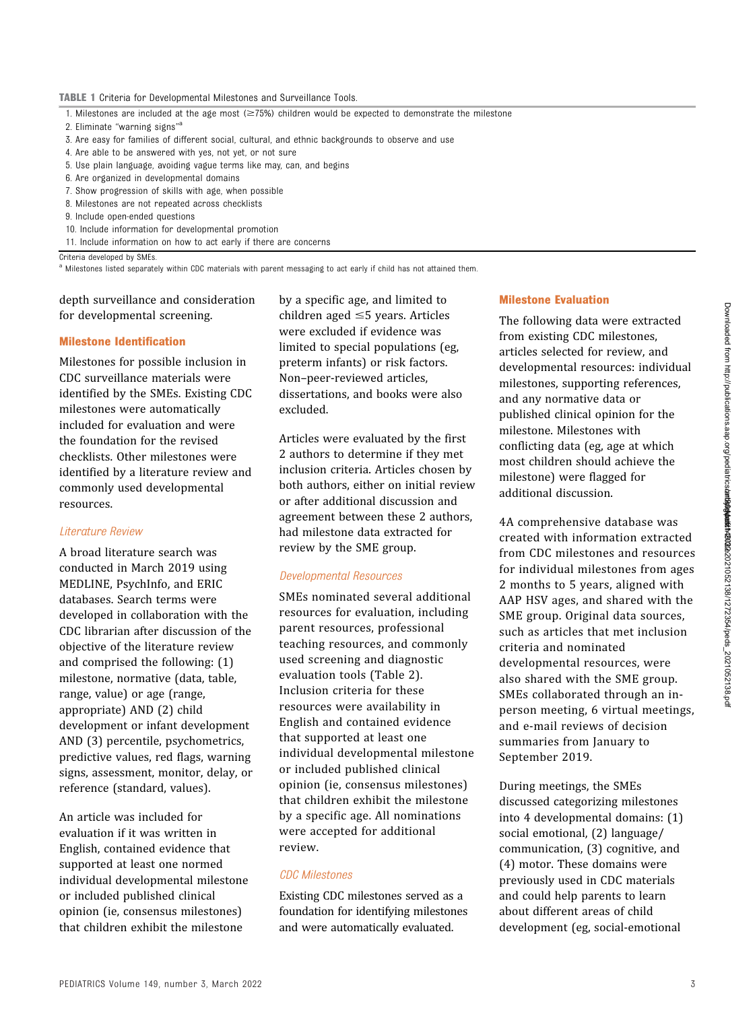- <span id="page-2-0"></span>1. Milestones are included at the age most ( $\geq$ 75%) children would be expected to demonstrate the milestone
- 2. Eliminate "warning signs"<sup>a</sup>
- 3. Are easy for families of different social, cultural, and ethnic backgrounds to observe and use
- 4. Are able to be answered with yes, not yet, or not sure
- 5. Use plain language, avoiding vague terms like may, can, and begins
- 6. Are organized in developmental domains
- 7. Show progression of skills with age, when possible
- 8. Milestones are not repeated across checklists
- 9. Include open-ended questions
- 10. Include information for developmental promotion
- 11. Include information on how to act early if there are concerns

Criteria developed by SMEs.

<sup>a</sup> Milestones listed separately within CDC materials with parent messaging to act early if child has not attained them.

depth surveillance and consideration for developmental screening.

#### Milestone Identification

Milestones for possible inclusion in CDC surveillance materials were identified by the SMEs. Existing CDC milestones were automatically included for evaluation and were the foundation for the revised checklists. Other milestones were identified by a literature review and commonly used developmental resources.

#### Literature Review

A broad literature search was conducted in March 2019 using MEDLINE, PsychInfo, and ERIC databases. Search terms were developed in collaboration with the CDC librarian after discussion of the objective of the literature review and comprised the following: (1) milestone, normative (data, table, range, value) or age (range, appropriate) AND (2) child development or infant development AND (3) percentile, psychometrics, predictive values, red flags, warning signs, assessment, monitor, delay, or reference (standard, values).

An article was included for evaluation if it was written in English, contained evidence that supported at least one normed individual developmental milestone or included published clinical opinion (ie, consensus milestones) that children exhibit the milestone

by a specific age, and limited to children aged  $\leq$ 5 years. Articles were excluded if evidence was limited to special populations (eg, preterm infants) or risk factors. Non–peer-reviewed articles, dissertations, and books were also excluded.

Articles were evaluated by the first 2 authors to determine if they met inclusion criteria. Articles chosen by both authors, either on initial review or after additional discussion and agreement between these 2 authors, had milestone data extracted for review by the SME group.

#### Developmental Resources

SMEs nominated several additional resources for evaluation, including parent resources, professional teaching resources, and commonly used screening and diagnostic evaluation tools [\(Table 2\)](#page-3-0). Inclusion criteria for these resources were availability in English and contained evidence that supported at least one individual developmental milestone or included published clinical opinion (ie, consensus milestones) that children exhibit the milestone by a specific age. All nominations were accepted for additional review.

#### CDC Milestones

Existing CDC milestones served as a foundation for identifying milestones and were automatically evaluated.

#### Milestone Evaluation

The following data were extracted from existing CDC milestones, articles selected for review, and developmental resources: individual milestones, supporting references, and any normative data or published clinical opinion for the milestone. Milestones with conflicting data (eg, age at which most children should achieve the milestone) were flagged for additional discussion.

4A comprehensive database was created with information extracted from CDC milestones and resources for individual milestones from ages 2 months to 5 years, aligned with AAP HSV ages, and shared with the SME group. Original data sources, such as articles that met inclusion criteria and nominated developmental resources, were also shared with the SME group. SMEs collaborated through an inperson meeting, 6 virtual meetings, and e-mail reviews of decision summaries from January to September 2019.

During meetings, the SMEs discussed categorizing milestones into 4 developmental domains: (1) social emotional, (2) language/ communication, (3) cognitive, and (4) motor. These domains were previously used in CDC materials and could help parents to learn about different areas of child development (eg, social-emotional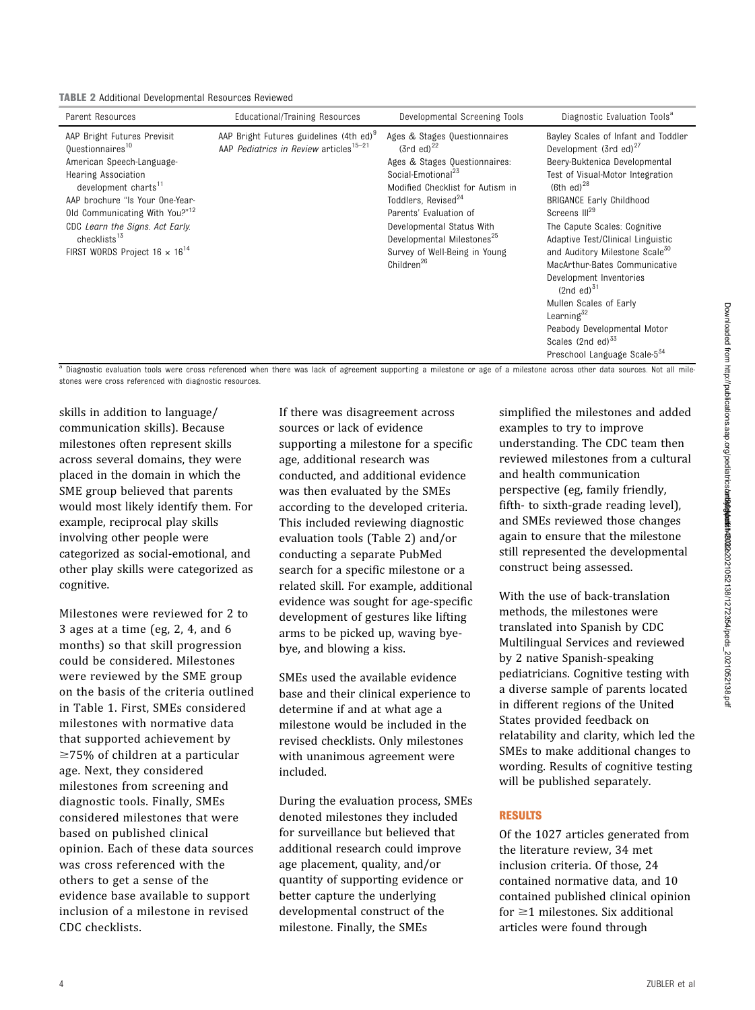<span id="page-3-0"></span>

| Parent Resources                                                                                                                                                                                                                                                                                                                                      | Educational/Training Resources                                                                            | Developmental Screening Tools                                                                                                                                                                                                                                                                                                                                 | Diagnostic Evaluation Tools <sup>a</sup>                                                                                                                                                                                                                                                                                                                                                                                                                                                                                                                                                               |
|-------------------------------------------------------------------------------------------------------------------------------------------------------------------------------------------------------------------------------------------------------------------------------------------------------------------------------------------------------|-----------------------------------------------------------------------------------------------------------|---------------------------------------------------------------------------------------------------------------------------------------------------------------------------------------------------------------------------------------------------------------------------------------------------------------------------------------------------------------|--------------------------------------------------------------------------------------------------------------------------------------------------------------------------------------------------------------------------------------------------------------------------------------------------------------------------------------------------------------------------------------------------------------------------------------------------------------------------------------------------------------------------------------------------------------------------------------------------------|
| AAP Bright Futures Previsit<br>Ouestionnaires <sup>10</sup><br>American Speech-Language-<br><b>Hearing Association</b><br>development charts <sup>11</sup><br>AAP brochure "Is Your One-Year-<br>Old Communicating With You?" <sup>12</sup><br>CDC Learn the Signs. Act Early.<br>checklists <sup>13</sup><br>FIRST WORDS Project $16 \times 16^{14}$ | AAP Bright Futures guidelines (4th ed) <sup>9</sup><br>AAP Pediatrics in Review articles <sup>15-21</sup> | Ages & Stages Questionnaires<br>$(3rd \text{ ed})^{22}$<br>Ages & Stages Questionnaires:<br>Social-Emotional <sup>23</sup><br>Modified Checklist for Autism in<br>Toddlers, Revised <sup>24</sup><br>Parents' Evaluation of<br>Developmental Status With<br>Developmental Milestones <sup>25</sup><br>Survey of Well-Being in Young<br>Children <sup>26</sup> | Bayley Scales of Infant and Toddler<br>Development (3rd ed) $^{27}$<br>Beery-Buktenica Developmental<br>Test of Visual-Motor Integration<br>$(6th$ ed) <sup>28</sup><br><b>BRIGANCE Early Childhood</b><br>Screens III <sup>29</sup><br>The Capute Scales: Cognitive<br>Adaptive Test/Clinical Linguistic<br>and Auditory Milestone Scale <sup>30</sup><br>MacArthur-Bates Communicative<br>Development Inventories<br>$(2nd$ ed) <sup>31</sup><br>Mullen Scales of Early<br>Learning $32$<br>Peabody Developmental Motor<br>Scales (2nd ed) <sup>55</sup><br>Preschool Language Scale-5 <sup>34</sup> |

a Diagnostic evaluation tools were cross referenced when there was lack of agreement supporting a milestone or age of a milestone across other data sources. Not all milestones were cross referenced with diagnostic resources.

skills in addition to language/ communication skills). Because milestones often represent skills across several domains, they were placed in the domain in which the SME group believed that parents would most likely identify them. For example, reciprocal play skills involving other people were categorized as social-emotional, and other play skills were categorized as cognitive.

Milestones were reviewed for 2 to 3 ages at a time (eg, 2, 4, and 6 months) so that skill progression could be considered. Milestones were reviewed by the SME group on the basis of the criteria outlined in [Table 1.](#page-2-0) First, SMEs considered milestones with normative data that supported achievement by  $\geq$ 75% of children at a particular age. Next, they considered milestones from screening and diagnostic tools. Finally, SMEs considered milestones that were based on published clinical opinion. Each of these data sources was cross referenced with the others to get a sense of the evidence base available to support inclusion of a milestone in revised CDC checklists.

If there was disagreement across sources or lack of evidence supporting a milestone for a specific age, additional research was conducted, and additional evidence was then evaluated by the SMEs according to the developed criteria. This included reviewing diagnostic evaluation tools (Table 2) and/or conducting a separate PubMed search for a specific milestone or a related skill. For example, additional evidence was sought for age-specific development of gestures like lifting arms to be picked up, waving byebye, and blowing a kiss.

SMEs used the available evidence base and their clinical experience to determine if and at what age a milestone would be included in the revised checklists. Only milestones with unanimous agreement were included.

During the evaluation process, SMEs denoted milestones they included for surveillance but believed that additional research could improve age placement, quality, and/or quantity of supporting evidence or better capture the underlying developmental construct of the milestone. Finally, the SMEs

simplified the milestones and added examples to try to improve understanding. The CDC team then reviewed milestones from a cultural and health communication perspective (eg, family friendly, fifth- to sixth-grade reading level), and SMEs reviewed those changes again to ensure that the milestone still represented the developmental construct being assessed.

With the use of back-translation methods, the milestones were translated into Spanish by CDC Multilingual Services and reviewed by 2 native Spanish-speaking pediatricians. Cognitive testing with a diverse sample of parents located in different regions of the United States provided feedback on relatability and clarity, which led the SMEs to make additional changes to wording. Results of cognitive testing will be published separately.

#### RESULTS

Of the 1027 articles generated from the literature review, 34 met inclusion criteria. Of those, 24 contained normative data, and 10 contained published clinical opinion for  $\geq$ 1 milestones. Six additional articles were found through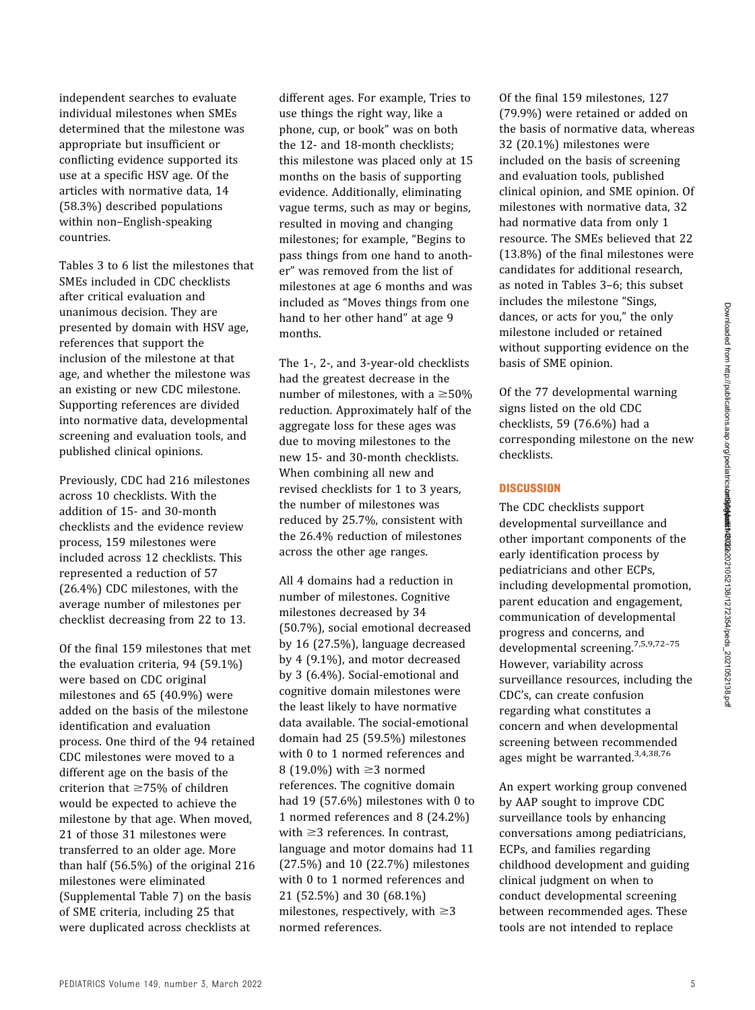independent searches to evaluate individual milestones when SMEs determined that the milestone was appropriate but insufficient or conflicting evidence supported its use at a specific HSV age. Of the articles with normative data, 14 (58.3%) described populations within non–English-speaking countries.

Tables 3 to 6 list the milestones that SMEs included in CDC checklists after critical evaluation and unanimous decision. They are presented by domain with HSV age, references that support the inclusion of the milestone at that age, and whether the milestone was an existing or new CDC milestone. Supporting references are divided into normative data, developmental screening and evaluation tools, and published clinical opinions.

Previously, CDC had 216 milestones across 10 checklists. With the addition of 15- and 30-month checklists and the evidence review process, 159 milestones were included across 12 checklists. This represented a reduction of 57 (26.4%) CDC milestones, with the average number of milestones per checklist decreasing from 22 to 13.

Of the final 159 milestones that met the evaluation criteria, 94 (59.1%) were based on CDC original milestones and 65 (40.9%) were added on the basis of the milestone identification and evaluation process. One third of the 94 retained CDC milestones were moved to a different age on the basis of the criterion that  $\geq$ 75% of children would be expected to achieve the milestone by that age. When moved, 21 of those 31 milestones were transferred to an older age. More than half (56.5%) of the original 216 milestones were eliminated [\(Supplemental Table 7\)](https://pediatrics.aappublications.org/lookup/suppl/doi:10.1542/peds.2021-052138/-/DCSupplemental/) on the basis of SME criteria, including 25 that were duplicated across checklists at

different ages. For example, Tries to use things the right way, like a phone, cup, or book" was on both the 12- and 18-month checklists; this milestone was placed only at 15 months on the basis of supporting evidence. Additionally, eliminating vague terms, such as may or begins, resulted in moving and changing milestones; for example, "Begins to pass things from one hand to another" was removed from the list of milestones at age 6 months and was included as "Moves things from one hand to her other hand" at age 9 months.

The 1-, 2-, and 3-year-old checklists had the greatest decrease in the number of milestones, with a  $\geq 50\%$ reduction. Approximately half of the aggregate loss for these ages was due to moving milestones to the new 15- and 30-month checklists. When combining all new and revised checklists for 1 to 3 years, the number of milestones was reduced by 25.7%, consistent with the 26.4% reduction of milestones across the other age ranges.

All 4 domains had a reduction in number of milestones. Cognitive milestones decreased by 34 (50.7%), social emotional decreased by 16 (27.5%), language decreased by 4 (9.1%), and motor decreased by 3 (6.4%). Social-emotional and cognitive domain milestones were the least likely to have normative data available. The social-emotional domain had 25 (59.5%) milestones with 0 to 1 normed references and 8 (19.0%) with  $\geq$ 3 normed references. The cognitive domain had 19 (57.6%) milestones with 0 to 1 normed references and 8 (24.2%) with  $\geq$ 3 references. In contrast, language and motor domains had 11 (27.5%) and 10 (22.7%) milestones with 0 to 1 normed references and 21 (52.5%) and 30 (68.1%) milestones, respectively, with  $\geq 3$ normed references.

Of the final 159 milestones, 127 (79.9%) were retained or added on the basis of normative data, whereas 32 (20.1%) milestones were included on the basis of screening and evaluation tools, published clinical opinion, and SME opinion. Of milestones with normative data, 32 had normative data from only 1 resource. The SMEs believed that 22 (13.8%) of the final milestones were candidates for additional research, as noted in Tables 3–6; this subset includes the milestone "Sings, dances, or acts for you," the only milestone included or retained without supporting evidence on the basis of SME opinion.

Of the 77 developmental warning signs listed on the old CDC checklists, 59 (76.6%) had a corresponding milestone on the new checklists.

#### **DISCUSSION**

The CDC checklists support developmental surveillance and other important components of the early identification process by pediatricians and other ECPs, including developmental promotion, parent education and engagement, communication of developmental progress and concerns, and developmental screening.[7](#page-26-0),[5,9](#page-26-0),72–[75](#page-28-0) However, variability across surveillance resources, including the CDC's, can create confusion regarding what constitutes a concern and when developmental screening between recommended ages might be warranted.[3](#page-26-0),[4](#page-26-0),[38,](#page-27-0)[76](#page-28-0)

An expert working group convened by AAP sought to improve CDC surveillance tools by enhancing conversations among pediatricians, ECPs, and families regarding childhood development and guiding clinical judgment on when to conduct developmental screening between recommended ages. These tools are not intended to replace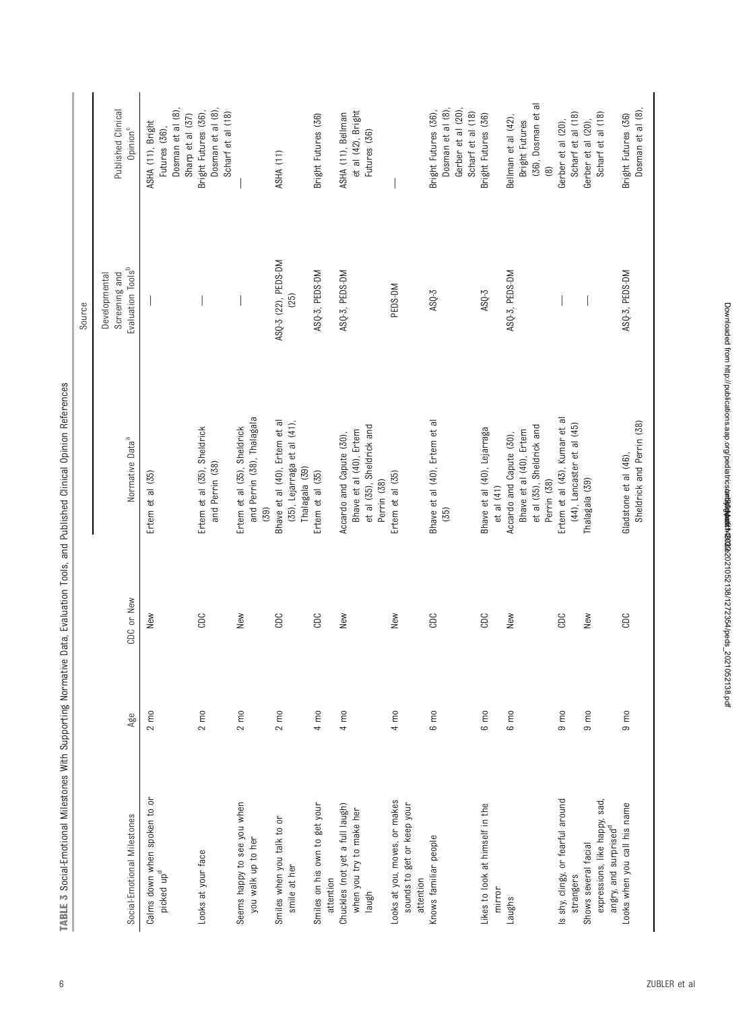|                                                                                            |                  |            |                                                                                                 | Source                         |                                                                                     |
|--------------------------------------------------------------------------------------------|------------------|------------|-------------------------------------------------------------------------------------------------|--------------------------------|-------------------------------------------------------------------------------------|
|                                                                                            |                  |            |                                                                                                 | Screening and<br>Developmental | Published Clinical                                                                  |
| Social-Emotional Milestones                                                                | Age              | CDC or New | Normative Data <sup>a</sup>                                                                     | Evaluation Tools <sup>b</sup>  | Opinion <sup>c</sup>                                                                |
| Calms down when spoken to or<br>picked up <sup>d</sup>                                     | $2 \text{ m}$    | New        | Ertem et al (35)                                                                                |                                | Dosman et al (8),<br>Sharp et al (37)<br>ASHA (11), Bright<br>Futures (36),         |
| Looks at your face                                                                         | $2 \text{ m0}$   | CDC        | Ertem et al (35), Sheldrick<br>and Perrin (38)                                                  |                                | Dosman et al (8)<br>Bright Futures (36),<br>Scharf et al (18)                       |
| Seems happy to see you when<br>you walk up to her                                          | $2 \text{ mo}$   | New        | and Perrin (38), Thalagala<br>Ertem et al (35), Sheldrick<br>(55)                               |                                |                                                                                     |
| Smiles when you talk to or<br>smile at her                                                 | $2 \text{ mo}$   | CDC        | Bhave et al (40), Ertem et al<br>(35), Lejarraga et al (41),<br>Thalagala (39)                  | ASQ-3 (22), PEDS-DM<br>(25)    | ASHA (11)                                                                           |
| Smiles on his own to get your<br>attention                                                 | $4 \text{ mo}$   | CDC        | Ertem et al (35)                                                                                | ASQ-3, PEDS-DM                 | Bright Futures (36)                                                                 |
| Chuckles (not yet a full laugh)<br>when you try to make her<br>Iaugh                       | $4 \text{ mo}$   | New        | et al (35), Sheldrick and<br>Bhave et al (40), Ertem<br>Accardo and Capute (30),<br>Perrin (38) | ASQ-3, PEDS-DM                 | et al (42), Bright<br>ASHA (11), Bellman<br>Futures (36)                            |
| Looks at you, moves, or makes<br>sounds to get or keep your<br>attention                   | $4 \text{ mo}$   | New        | Ertem et al (35)                                                                                | PEDS-DM                        |                                                                                     |
| Knows familiar people                                                                      | $6 \text{ m0}$   | CDC        | Bhave et al (40), Ertem et al<br>(35)                                                           | $ASQ-3$                        | Dosman et al (8)<br>Gerber et al (20),<br>Bright Futures (36),<br>Scharf et al (18) |
| Likes to look at himself in the<br>mirror                                                  | $6 \, \text{m0}$ | CDC        | Bhave et al (40), Lejarraga<br>et al (41)                                                       | ASQ-3                          | Bright Futures (36)                                                                 |
| Laughs                                                                                     | $6 \, \text{m0}$ | New        | et al (35), Sheldrick and<br>Bhave et al (40), Ertem<br>Accardo and Capute (30),<br>Perrin (38) | ASQ-3, PEDS-DM                 | (36), Dosman et al<br>Bellman et al (42),<br>Bright Futures<br>$\circledcirc$       |
| is shy, clingy, or fearful around<br>strangers                                             | $9 \text{ m}$    | CDC        | Ertem et al (43), Kumar et al<br>(44), Lancaster et al (45)                                     |                                | Scharf et al (18)<br>Gerber et al (20),                                             |
| expressions, like happy, sad,<br>angry, and surprised <sup>d</sup><br>Shows several facial | $9 \text{ m}$    | New        | Thalagala (39)                                                                                  |                                | Scharf et al (18)<br>Gerber et al (20),                                             |
| Looks when you call his name                                                               | $9 \text{ m}$    | CDC        | Sheldrick and Perrin (38)<br>Gladstone et al (46),                                              | ASQ-3, PEDS-DM                 | Dosman et al (8)<br>Bright Futures (36)                                             |

TABLE 3 Social-Emotional Milestones With Supporting Normative Data, Evaluation Tools, and Published Clinical Opinion References TABLE 3 Social-Emotional Milestones With Supporting Normative Data, Evaluation Tools, and Published Clinical Opinion References

Downloaded from http://publications.aap.org/pediatrics**/art9004at6122**2021052138/1272354/peds\_2021052138.pdf Downloaded from http://publications.aap.org/pediatrics/article-pdf/149/3/e2021052138/1272354/peds\_2021052138.pdf by guest on 30 March 2022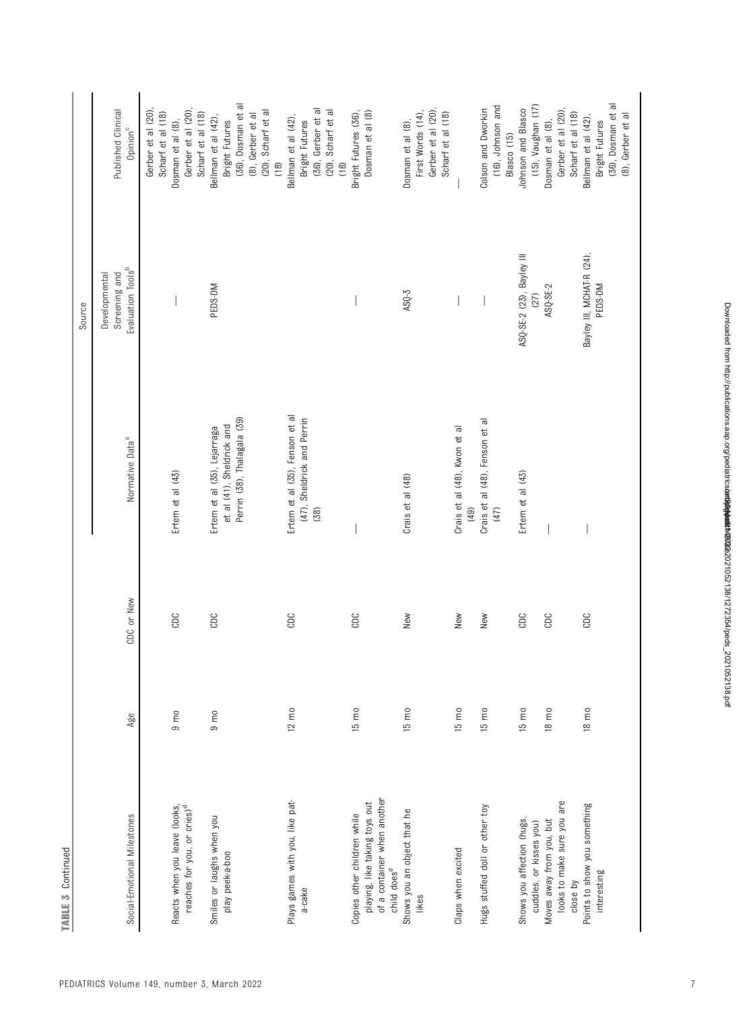| TABLE 3 Continued                       |                 |            |                                |                                                                 |                                            |
|-----------------------------------------|-----------------|------------|--------------------------------|-----------------------------------------------------------------|--------------------------------------------|
|                                         |                 |            |                                | Source                                                          |                                            |
| Social-Emotional Milestones             | Age             | CDC or New | Normative Data <sup>a</sup>    | Evaluation Tools <sup>b</sup><br>Screening and<br>Developmental | Published Clinical<br>Opinion <sup>c</sup> |
|                                         |                 |            |                                |                                                                 | Gerber et al (20)<br>Scharf et al (18)     |
| Reacts when you leave (looks,           | $9 \text{ m}$   | CDC        | Ertem et al (43)               |                                                                 | Dosman et al (8),                          |
| reaches for you, or cries) <sup>d</sup> |                 |            |                                |                                                                 | Gerber et al (20)<br>Scharf et al (18)     |
| Smiles or laughs when you               | $9 \text{ m}$   | CDC        | Ertem et al (35), Lejarraga    | PEDS-DM                                                         | Bellman et al (42),                        |
| play peek-a-boo                         |                 |            | et al (41), Sheldrick and      |                                                                 | Bright Futures                             |
|                                         |                 |            | Perrin (38), Thalagala (39)    |                                                                 | (36), Dosman et al                         |
|                                         |                 |            |                                |                                                                 | (8), Gerber et al                          |
|                                         |                 |            |                                |                                                                 | (20), Scharf et al                         |
|                                         |                 |            |                                |                                                                 | (18)                                       |
| Plays games with you, like pat-         | $12 \text{ m}$  | CDC        | Ertem et al (35), Fenson et al |                                                                 | Bellman et al (42),                        |
| a-cake                                  |                 |            | (47), Sheldrick and Perrin     |                                                                 | Bright Futures                             |
|                                         |                 |            | (38)                           |                                                                 | (36), Gerber et al                         |
|                                         |                 |            |                                |                                                                 | (20), Scharf et al                         |
|                                         |                 |            |                                |                                                                 | (18)                                       |
| Copies other children while             | $15 \text{ m0}$ | CDC        |                                |                                                                 | Bright Futures (36),                       |
| playing, like taking toys out           |                 |            |                                |                                                                 | Dosman et al (8)                           |
| of a container when another             |                 |            |                                |                                                                 |                                            |
| child does <sup>d</sup>                 |                 |            |                                |                                                                 |                                            |
| Shows you an object that he             | $15 \text{ m0}$ | New        | Crais et al (48)               | $ASQ-3$                                                         | Dosman et al (8),                          |
| likes                                   |                 |            |                                |                                                                 | First Words (14),                          |
|                                         |                 |            |                                |                                                                 | Gerber et al (20)<br>Scharf et al (18)     |
| Claps when excited                      | $15 \text{ mo}$ | New        | Crais et al (48), Kwon et al   |                                                                 |                                            |
|                                         |                 |            | (64)                           |                                                                 |                                            |
| Hugs stuffed doll or other toy          | $15 \text{ mo}$ | New        | Crais et al (48), Fenson et al |                                                                 | Colson and Dworkin                         |
|                                         |                 |            | (47)                           |                                                                 | (16), Johnson and                          |
|                                         |                 |            |                                |                                                                 | Blasco (15)                                |
| Shows you affection (hugs,              | $15 \text{ m0}$ | CDC        | Ertem et al (43)               | ASQ-SE-2 (23), Bayley III                                       | Johnson and Blasco                         |
| cuddles, or kisses you)                 |                 |            |                                | (27)                                                            | (15), Vaughan (17)                         |
| Moves away from you, but                | $18 \text{ m0}$ | CDC        |                                | ASQ-SE-2                                                        | Dosman et al (8),                          |
| looks to make sure you are              |                 |            |                                |                                                                 | Gerber et al (20)                          |
| close by                                |                 |            |                                |                                                                 | Scharf et al (18)                          |
| Points to show you something            | 18 mo           | CDC        |                                | Bayley III, MCHAT-R (24),                                       | Bellman et al (42),                        |
| interesting                             |                 |            |                                | PEDS-DM                                                         | Bright Futures                             |
|                                         |                 |            |                                |                                                                 | (36), Dosman et al                         |
|                                         |                 |            |                                |                                                                 | (8), Gerber et al                          |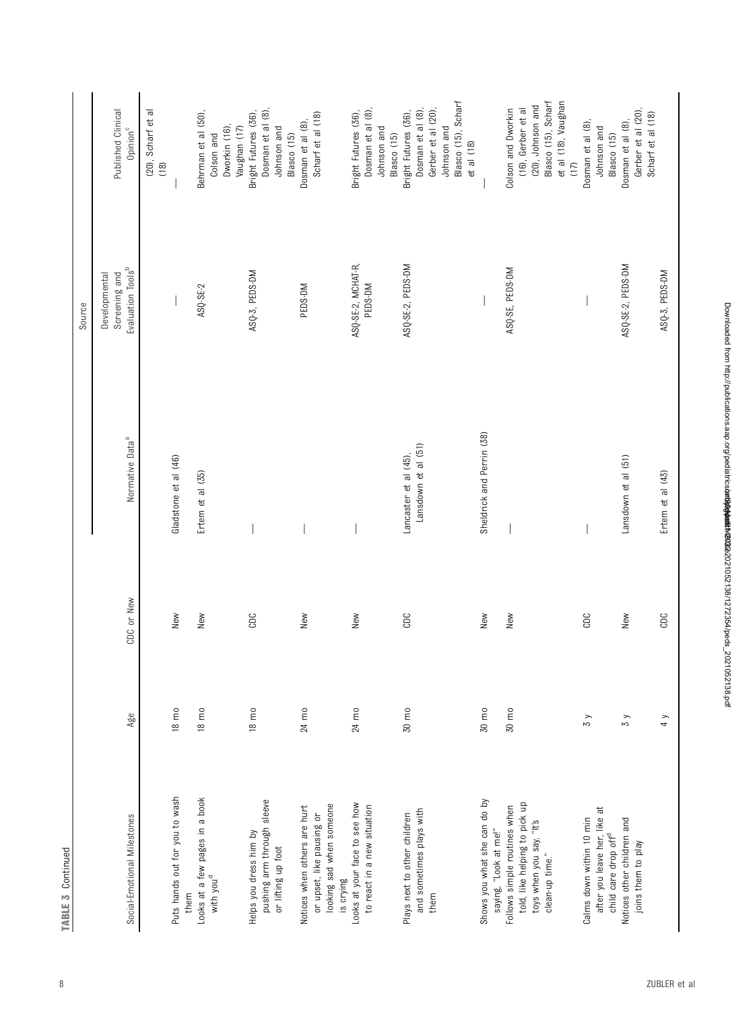| н |  |
|---|--|
| v |  |
|   |  |
|   |  |
|   |  |

|                                                                                                              |                 |            |                                              | Source                                                          |                                                                                                                     |
|--------------------------------------------------------------------------------------------------------------|-----------------|------------|----------------------------------------------|-----------------------------------------------------------------|---------------------------------------------------------------------------------------------------------------------|
| Social-Emotional Milestones                                                                                  | Age             | CDC or New | Normative Data <sup>a</sup>                  | Evaluation Tools <sup>b</sup><br>Screening and<br>Developmental | Published Clinical<br>Opinion <sup>c</sup>                                                                          |
|                                                                                                              |                 |            |                                              |                                                                 | (20), Scharf et al<br>(18)                                                                                          |
| Puts hands out for you to wash<br>them                                                                       | 18 mo           | New        | Gladstone et al (46)                         |                                                                 |                                                                                                                     |
| Looks at a few pages in a book<br>with you <sup>d</sup>                                                      | 18 mo           | New        | Ertem et al (35)                             | ASQ-SE-2                                                        | Behrman et al (50),<br>Dworkin (16)<br>Colson and                                                                   |
| pushing arm through sleeve<br>Helps you dress him by<br>or lifting up foot                                   | $18 \text{ mO}$ | CDC        |                                              | ASQ-3, PEDS-DM                                                  | Dosman et al (8),<br>Bright Futures (36),<br>Vaughan (17)<br>Johnson and<br>Blasco (15)                             |
| looking sad when someone<br>Notices when others are hurt<br>or upset, like pausing or<br>is crying           | 24 mo           | New        |                                              | PEDS-DM                                                         | Scharf et al (18)<br>Dosman et al (8),                                                                              |
| Looks at your face to see how<br>to react in a new situation                                                 | 24 mo           | New        |                                              | ASQ-SE-2, MCHAT-R,<br>PEDS-DM                                   | Dosman et al (8),<br>Bright Futures (36),<br>Johnson and<br>Blasco (15)                                             |
| and sometimes plays with<br>Plays next to other children<br>them                                             | 30 mo           | CDC        | Lansdown et al (51)<br>Lancaster et al (45), | ASQ-SE-2, PEDS-DM                                               | Blasco (15), Scharf<br>Dosman et al (8),<br>Gerber et al (20),<br>Bright Futures (36),<br>Johnson and<br>et al (18) |
| Shows you what she can do by<br>saying, "Look at me!"                                                        | 30 mo           | New        | Sheldrick and Perrin (38)                    |                                                                 |                                                                                                                     |
| told, like helping to pick up<br>Follows simple routines when<br>toys when you say, "It's<br>clean-up time." | 30 mo           | New        |                                              | ASQ-SE, PEDS-DM                                                 | Blasco (15), Scharf<br>et al (18), Vaughan<br>(20), Johnson and<br>(16), Gerber et al<br>Colson and Dworkin<br>(17) |
| after you leave her, like at<br>Calms down within 10 min<br>child care drop off <sup>d</sup>                 | $\zeta$         | CDC        |                                              |                                                                 | Dosman et al (8),<br>Johnson and<br>Blasco (15)                                                                     |
| Notices other children and<br>joins them to play                                                             | $\zeta$         | New        | Lansdown et al (51)                          | ASQ-SE-2, PEDS-DM                                               | Gerber et al (20),<br>Scharf et al (18)<br>Dosman et al (8),                                                        |
|                                                                                                              | 4 y             | CDC        | Ertem et al (43)                             | ASQ-3, PEDS-DM                                                  |                                                                                                                     |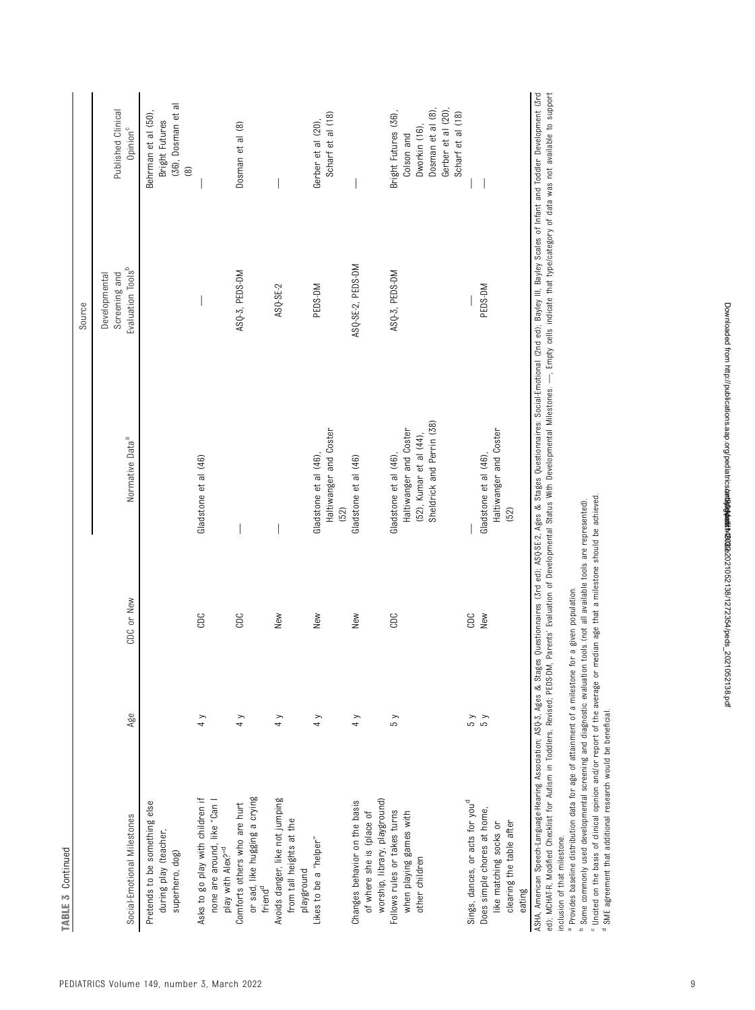|                                                                                                   |               |            |                                                                                                         | Source                         |                                                                                                                    |
|---------------------------------------------------------------------------------------------------|---------------|------------|---------------------------------------------------------------------------------------------------------|--------------------------------|--------------------------------------------------------------------------------------------------------------------|
|                                                                                                   |               |            |                                                                                                         | Screening and<br>Developmental | Published Clinical                                                                                                 |
| Social-Emotional Milestones                                                                       | Age           | CDC or New | Normative Data <sup>a</sup>                                                                             | Evaluation Tools <sup>b</sup>  | Opinion <sup>c</sup>                                                                                               |
| Pretends to be something else<br>during play (teacher,<br>superhero, dog)                         |               |            |                                                                                                         |                                | (36), Dosman et al<br>Behrman et al (50),<br>Bright Futures<br>$\circledR$                                         |
| Asks to go play with children if<br>none are around, like "Can I<br>play with Alex?" <sup>d</sup> | $\frac{1}{4}$ | CDC        | Gladstone et al (46)                                                                                    |                                |                                                                                                                    |
| or sad, like hugging a crying<br>friend <sup>d</sup><br>Comforts others who are hurt              | 4 y           | CDC        |                                                                                                         | ASQ-3, PEDS-DM                 | Dosman et al (8)                                                                                                   |
| Avoids danger, like not jumping<br>from tall heights at the<br>playground                         | 4y            | New        |                                                                                                         | ASQ-SE-2                       |                                                                                                                    |
| Likes to be a "helper"                                                                            | $\frac{1}{4}$ | New        | Haltiwanger and Coster<br>Gladstone et al (46)<br>$(52)$                                                | PEDS-DM                        | Scharf et al (18)<br>Gerber et al (20),                                                                            |
| worship, library, playground)<br>Changes behavior on the basis<br>of where she is (place of       | 4 y           | New        | Gladstone et al (46)                                                                                    | ASQ-SE-2, PEDS-DM              |                                                                                                                    |
| Follows rules or takes turns<br>when playing games with<br>other children                         | Σ Σ           | CDC        | Sheldrick and Perrin (38)<br>Haltiwanger and Coster<br>(52), Kumar et al (44),<br>Gladstone et al (46), | ASQ-3, PEDS-DM                 | Dosman et al (8),<br>Gerber et al (20)<br>Bright Futures (36),<br>Scharf et al (18)<br>Dworkin (16),<br>Colson and |
| Sings, dances, or acts for you <sup>d</sup>                                                       | k g           | CDC        |                                                                                                         |                                |                                                                                                                    |
| Does simple chores at home,<br>clearing the table after<br>like matching socks or<br>eating       | 5 y           | New        | Haltiwanger and Coster<br>Gladstone et al (46)<br>(52)                                                  | PEDS-DM                        |                                                                                                                    |

ASHA American Soeech-Language-Hearing Association: ASD-3. Ages & Stages Ouestion, ASD-55-2. Ages & Stages Ouestionnaires: Social-Emotional (2nd ed): Bayley III. Bayley Scales of Infant and Toddler Development (3rd ed); MCHAT-R, Modified Checklist for Autism in Toddlers. Revised: PEDS-DM. Parents' Evaluation of Developmental Status With Developmental Milestones. —. Empty cells indicate that the gloat was not available to support inclusion of that milestone. inclusion of that milestone.<br><sup>a</sup> Provides baseline distribution data for age of attainment of a milestone for a given population.

Provides baseline distribution data for age of attainment of a milestone for a given population.

Some commonly used developmental screening and diagnostic evaluation tools (not all available tools are represented).

bc d Uncited on the basis of clinical opinion and/or report of the average or median age that a milestone should be achieved.

SME agreement that additional research would be beneficial.

TABLE 3 Continued

TABLE 3 Continued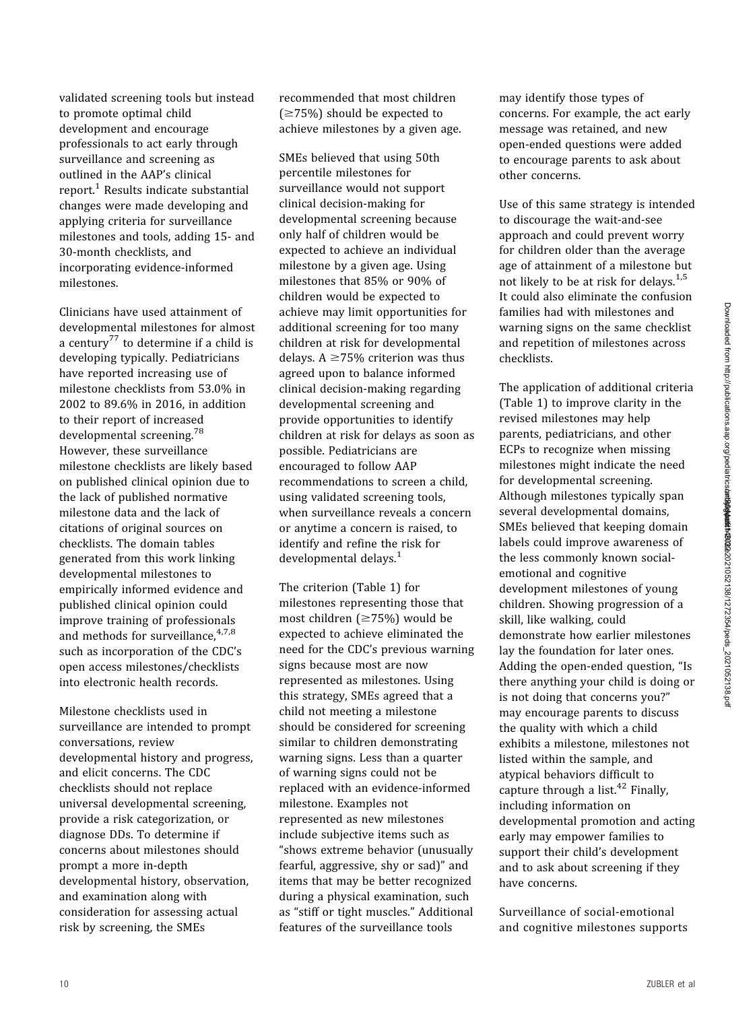validated screening tools but instead to promote optimal child development and encourage professionals to act early through surveillance and screening as outlined in the AAP's clinical  $report.<sup>1</sup> Results indicate substantial$  $report.<sup>1</sup> Results indicate substantial$  $report.<sup>1</sup> Results indicate substantial$ changes were made developing and applying criteria for surveillance milestones and tools, adding 15- and 30-month checklists, and incorporating evidence-informed milestones.

Clinicians have used attainment of developmental milestones for almost a century<sup>[77](#page-28-0)</sup> to determine if a child is developing typically. Pediatricians have reported increasing use of milestone checklists from 53.0% in 2002 to 89.6% in 2016, in addition to their report of increased developmental screening.[78](#page-28-0) However, these surveillance milestone checklists are likely based on published clinical opinion due to the lack of published normative milestone data and the lack of citations of original sources on checklists. The domain tables generated from this work linking developmental milestones to empirically informed evidence and published clinical opinion could improve training of professionals and methods for surveillance,  $4,7,8$  $4,7,8$  $4,7,8$ such as incorporation of the CDC's open access milestones/checklists into electronic health records.

Milestone checklists used in surveillance are intended to prompt conversations, review developmental history and progress, and elicit concerns. The CDC checklists should not replace universal developmental screening, provide a risk categorization, or diagnose DDs. To determine if concerns about milestones should prompt a more in-depth developmental history, observation, and examination along with consideration for assessing actual risk by screening, the SMEs

recommended that most children  $( \geq 75\%)$  should be expected to achieve milestones by a given age.

SMEs believed that using 50th percentile milestones for surveillance would not support clinical decision-making for developmental screening because only half of children would be expected to achieve an individual milestone by a given age. Using milestones that 85% or 90% of children would be expected to achieve may limit opportunities for additional screening for too many children at risk for developmental delays.  $A \ge 75\%$  criterion was thus agreed upon to balance informed clinical decision-making regarding developmental screening and provide opportunities to identify children at risk for delays as soon as possible. Pediatricians are encouraged to follow AAP recommendations to screen a child, using validated screening tools, when surveillance reveals a concern or anytime a concern is raised, to identify and refine the risk for developmental delays.<sup>[1](#page-26-0)</sup>

The criterion [\(Table 1](#page-2-0)) for milestones representing those that most children ( $\geq$ 75%) would be expected to achieve eliminated the need for the CDC's previous warning signs because most are now represented as milestones. Using this strategy, SMEs agreed that a child not meeting a milestone should be considered for screening similar to children demonstrating warning signs. Less than a quarter of warning signs could not be replaced with an evidence-informed milestone. Examples not represented as new milestones include subjective items such as "shows extreme behavior (unusually fearful, aggressive, shy or sad)" and items that may be better recognized during a physical examination, such as "stiff or tight muscles." Additional features of the surveillance tools

may identify those types of concerns. For example, the act early message was retained, and new open-ended questions were added to encourage parents to ask about other concerns.

Use of this same strategy is intended to discourage the wait-and-see approach and could prevent worry for children older than the average age of attainment of a milestone but not likely to be at risk for delays. $1.5$  $1.5$  $1.5$ It could also eliminate the confusion families had with milestones and warning signs on the same checklist and repetition of milestones across checklists.

The application of additional criteria ([Table 1](#page-2-0)) to improve clarity in the revised milestones may help parents, pediatricians, and other ECPs to recognize when missing milestones might indicate the need for developmental screening. Although milestones typically span several developmental domains, SMEs believed that keeping domain labels could improve awareness of the less commonly known socialemotional and cognitive development milestones of young children. Showing progression of a skill, like walking, could demonstrate how earlier milestones lay the foundation for later ones. Adding the open-ended question, "Is there anything your child is doing or is not doing that concerns you?" may encourage parents to discuss the quality with which a child exhibits a milestone, milestones not listed within the sample, and atypical behaviors difficult to capture through a list. $42$  Finally, including information on developmental promotion and acting early may empower families to support their child's development and to ask about screening if they have concerns.

Surveillance of social-emotional and cognitive milestones supports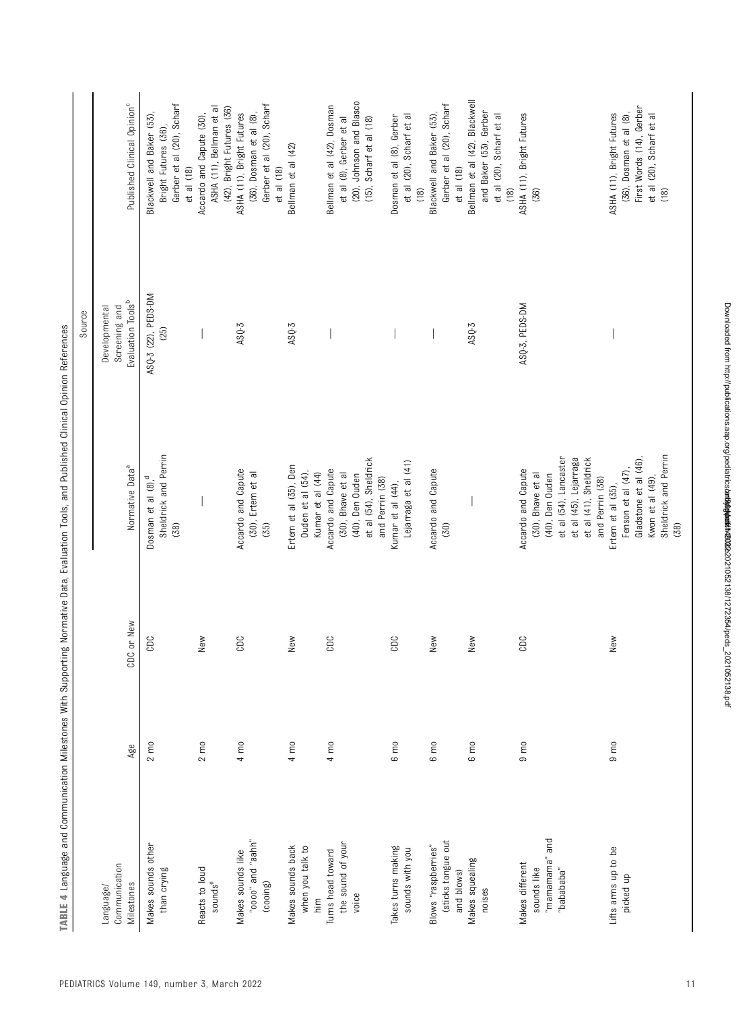|                                                                   |                |            |                                                                                                                                                          | Source                         |                                                                                                                      |
|-------------------------------------------------------------------|----------------|------------|----------------------------------------------------------------------------------------------------------------------------------------------------------|--------------------------------|----------------------------------------------------------------------------------------------------------------------|
| Communication<br>Language/                                        |                |            |                                                                                                                                                          | Screening and<br>Developmental |                                                                                                                      |
| Milestones                                                        | Age            | CDC or New | Normative Data <sup>a</sup>                                                                                                                              | Evaluation Tools <sup>b</sup>  | Published Clinical Opinion <sup>c</sup>                                                                              |
| Makes sounds other<br>than crying                                 | $2 \text{ m}$  | CDC        | Sheldrick and Perrin<br>Dosman et al (8), <sup>d</sup><br>(38)                                                                                           | ASQ-3 (22), PEDS-DM<br>(25)    | Gerber et al (20), Scharf<br>Blackwell and Baker (53),<br>Bright Futures (36),<br>$et al$ $(18)$                     |
| Reacts to loud<br>$\texttt{sounds}^\text{e}$                      | $2 \text{ mo}$ | New        |                                                                                                                                                          |                                | ASHA (11), Bellman et al<br>(42), Bright Futures (36)<br>Accardo and Capute (30),                                    |
| "quee" pue "oooo"<br>Makes sounds like<br>(cooing)                | $4 \text{ m0}$ | CDC        | Accardo and Capute<br>(30), Ertem et al<br>(35)                                                                                                          | $ASQ-3$                        | Gerber et al (20), Scharf<br>ASHA (11), Bright Futures<br>(36), Dosman et al (8),<br>et al (18)                      |
| Makes sounds back<br>when you talk to<br>$\frac{\epsilon}{\ln n}$ | $4 \text{ m0}$ | New        | Ertem et al (35), Den<br>Ouden et al (54),<br>Kumar et al (44)                                                                                           | $ASQ-3$                        | Bellman et al (42)                                                                                                   |
| the sound of your<br>Turns head toward<br>voice                   | $4 \text{ m0}$ | CDC        | et al (54), Sheldrick<br>Accardo and Capute<br>(30), Bhave et al<br>(40), Den Ouden<br>and Perrin (38)                                                   |                                | (20), Johnson and Blasco<br>Bellman et al (42), Dosman<br>et al (8), Gerber et al<br>(15), Scharf et al (18)         |
| Takes turns making<br>sounds with you                             | 6 mo           | CDC        | Lejarraga et al (41)<br>Kumar et al (44),                                                                                                                |                                | Dosman et al (8), Gerber<br>et al (20), Scharf et al<br>(18)                                                         |
| (sticks tongue out<br>Blows "raspberries"<br>and blows)           | $6 \text{ m0}$ | New        | Accardo and Capute<br>(30)                                                                                                                               |                                | Gerber et al (20), Scharf<br>Blackwell and Baker (53),<br>et al (18)                                                 |
| Makes squealing<br>noises                                         | $6 \text{ m}$  | New        |                                                                                                                                                          | $ASQ-3$                        | Bellman et al (42), Blackwell<br>and Baker (53), Gerber<br>et al (20), Scharf et al<br>$(18)$                        |
| "mamamama" and<br>Makes different<br>sounds like<br>"babababa"    | $9 \text{ m}$  | CDC        | et al (54), Lancaster<br>et al (45), Lejarraga<br>et al (41), Sheldrick<br>Accardo and Capute<br>(30), Bhave et al<br>(40), Den Ouden<br>and Perrin (38) | ASQ-3, PEDS-DM                 | ASHA (11), Bright Futures<br>(36)                                                                                    |
| Lifts arms up to be<br>picked up                                  | $9 \text{ m}$  | New        | Sheldrick and Perrin<br>Gladstone et al (46)<br>Fenson et al (47),<br>Kwon et al (49),<br>Ertem et al (35),<br>(38)                                      |                                | First Words (14), Gerber<br>(36), Dosman et al (8),<br>ASHA (11), Bright Futures<br>et al (20), Scharf et al<br>(18) |

TABLE 4 Language and Communication Milestones With Supporting Normative Data, Evaluation Tools, and Published Clinical Opinion References TABLE 4 Language and Communication Milestones With Supporting Normative Data, Evaluation Tools, and Published Clinical Opinion References

Downloaded from http://publications.aap.org/pediatrics/article-pdf/149/3/e2021052138/1272354/peds\_2021052138.pdf by guest on 30 March 2022

Downloaded from http://publications.aap.org/pediatrics/arth9004021052138/1272354/peds\_2021052138.pdf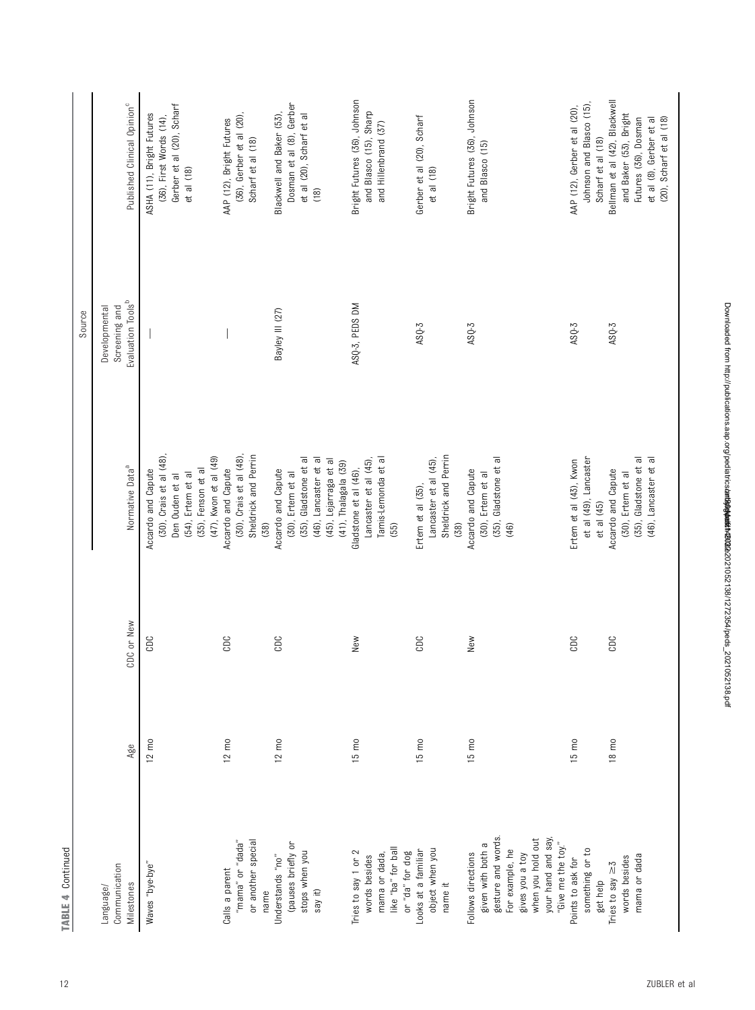|                            |                   |            |                                         | Source                         |                                         |
|----------------------------|-------------------|------------|-----------------------------------------|--------------------------------|-----------------------------------------|
| Communication<br>Language/ |                   |            |                                         | Screening and<br>Developmental |                                         |
| Milestones                 | Age               | CDC or New | Normative Data <sup>a</sup>             | Evaluation Tools <sup>b</sup>  | Published Clinical Opinion <sup>c</sup> |
| "Waves "bye-bye"           | $12 \text{ m0}$   | CDC        | Accardo and Capute                      |                                | ASHA (11), Bright Futures               |
|                            |                   |            | (30), Crais et al (48),                 |                                | (36), First Words (14),                 |
|                            |                   |            | Den Ouden et al                         |                                | Gerber et al (20), Scharf               |
|                            |                   |            | (35), Fenson et al<br>(54), Ertem et al |                                | et al (18)                              |
|                            |                   |            | (47), Kwon et al (49)                   |                                |                                         |
| Calls a parent             | $12 \text{ mo}$   | CDC        | Accardo and Capute                      |                                | AAP (12), Bright Futures                |
| "bada" or "dada"           |                   |            | (30), Crais et al (48)                  |                                | (36), Gerber et al (20),                |
| or another special         |                   |            | Sheldrick and Perrin                    |                                | Scharf et al (18)                       |
| name                       |                   |            | (38)                                    |                                |                                         |
| Understands "no"           | $12 \text{ m0}$   | CDC        | Accardo and Capute                      | Bayley III (27)                | Blackwell and Baker (53),               |
| (pauses briefly or         |                   |            | (30), Ertem et al                       |                                | Dosman et al (8), Gerber                |
| stops when you             |                   |            | (35), Gladstone et al                   |                                | et al (20), Scharf et al                |
| say it)                    |                   |            | (46), Lancaster et al                   |                                | (18)                                    |
|                            |                   |            | (45), Lejarraga et al                   |                                |                                         |
|                            |                   |            | (41), Thalagala (39)                    |                                |                                         |
| Tries to say 1 or 2        | $15 \text{ mo}$   | New        | Gladstone et al (46),                   | ASQ-3, PEDS DM                 | Bright Futures (36), Johnson            |
| words besides              |                   |            | Lancaster et al (45)                    |                                | and Blasco (15), Sharp                  |
| mama or dada,              |                   |            | Tamis-Lemonda et al                     |                                | and Hillenbrand (37)                    |
| like "ba" for ball         |                   |            | (55)                                    |                                |                                         |
| or "da" for dog            |                   |            |                                         |                                |                                         |
| Looks at a familiar        | $15 \, \text{mo}$ | CDC        | Ertem et al (35)                        | $ASQ-3$                        | Gerber et al (20), Scharf               |
| object when you            |                   |            | Lancaster et al (45),                   |                                | et al (18)                              |
| name it                    |                   |            | Sheldrick and Perrin<br>(38)            |                                |                                         |
| Follows directions         | $15 \, \text{m0}$ | New        | Accardo and Capute                      | $ASQ-3$                        | Bright Futures (36), Johnson            |
| given with both a          |                   |            | (30), Ertem et al                       |                                | and Blasco (15)                         |
| gesture and words.         |                   |            | (35), Gladstone et al                   |                                |                                         |
| For example, he            |                   |            | (46)                                    |                                |                                         |
| gives you a toy            |                   |            |                                         |                                |                                         |
| when you hold out          |                   |            |                                         |                                |                                         |
| your hand and say,         |                   |            |                                         |                                |                                         |
| "Give me the toy."         |                   |            |                                         |                                |                                         |
| Points to ask for          | $15 \, \text{m0}$ | CDC        | Ertem et al (43), Kwon                  | $ASQ-3$                        | AAP (12), Gerber et al (20),            |
| something or to            |                   |            | et al (49), Lancaster                   |                                | Johnson and Blasco (15)                 |
| get help                   |                   |            | $et$ al $(45)$                          |                                | Scharf et al (18)                       |
| Tries to say $\geq 5$      | $18 \text{ m0}$   | CDC        | Accardo and Capute                      | $ASQ-3$                        | Bellman et al (42), Blackwell           |
| words besides              |                   |            | (30), Ertem et al                       |                                | and Baker (53), Bright                  |
| mama or dada               |                   |            | (35), Gladstone et al                   |                                | Futures (36), Dosman                    |
|                            |                   |            | (46), Lancaster et al                   |                                | et al (8), Gerber et al                 |
|                            |                   |            |                                         |                                | (20), Scharf et al (18)                 |

TABLE 4 Continued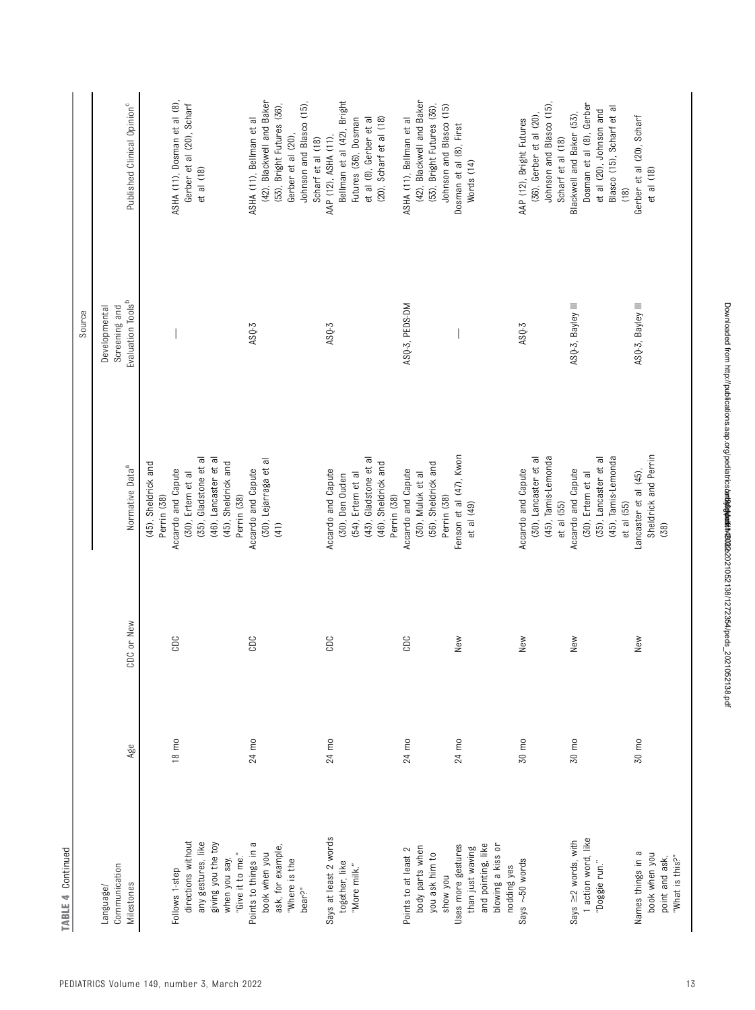|                                                                                                     |                 |            |                                                                                                                           | Source                                                          |                                                                                                                                                            |
|-----------------------------------------------------------------------------------------------------|-----------------|------------|---------------------------------------------------------------------------------------------------------------------------|-----------------------------------------------------------------|------------------------------------------------------------------------------------------------------------------------------------------------------------|
| Communication<br>Milestones<br>Language/                                                            | Age             | CDC or New | Normative Data <sup>a</sup>                                                                                               | Evaluation Tools <sup>b</sup><br>Screening and<br>Developmental | Published Clinical Opinion <sup>c</sup>                                                                                                                    |
| Follows 1-step                                                                                      | $18 \text{ m0}$ | CDC        | (45), Sheldrick and<br>Accardo and Capute<br>Perrin (38)                                                                  |                                                                 | ASHA (11), Dosman et al (8),                                                                                                                               |
| directions without<br>any gestures, like<br>giving you the toy<br>"Give it to me."<br>when you say, |                 |            | (35), Gladstone et al<br>(46), Lancaster et al<br>(45), Sheldrick and<br>(30), Ertem et al<br>Perrin (38)                 |                                                                 | Gerber et al (20), Scharf<br>et al (18)                                                                                                                    |
| Points to things in a<br>ask, for example,<br>book when you<br>"Where is the<br>bear?"              | 24 mo           | CDC        | (30), Lejarraga et al<br>Accardo and Capute<br>(41)                                                                       | AS <sub>0</sub> -3                                              | (42), Blackwell and Baker<br>Johnson and Blasco (15),<br>(53), Bright Futures (36),<br>ASHA (11), Bellman et al<br>Gerber et al (20),<br>Scharf et al (18) |
| Says at least 2 words<br>together, like<br>"More milk."                                             | 24 mo           | CDC        | (43), Gladstone et al<br>(46), Sheldrick and<br>Accardo and Capute<br>(54), Ertem et al<br>(30), Den Ouden<br>Perrin (38) | $ASQ-3$                                                         | Bellman et al (42), Bright<br>(20), Scharf et al (18)<br>Futures (36), Dosman<br>et al (8), Gerber et al<br>AAP (12), ASHA (11),                           |
| body parts when<br>Points to at least 2<br>you ask him to<br>now you                                | 24 mo           | CDC        | (56), Sheldrick and<br>Accardo and Capute<br>(30), Muluk et al<br>Perrin (38)                                             | ASQ-3, PEDS-DM                                                  | (42), Blackwell and Baker<br>(53), Bright Futures (36),<br>Johnson and Blasco (15)<br>ASHA (11), Bellman et al                                             |
| and pointing, like<br>blowing a kiss or<br>Uses more gestures<br>than just waving<br>nodding yes    | 24 mo           | New        | Fenson et al (47), Kwon<br>et al (49)                                                                                     |                                                                 | Dosman et al (8), First<br>Words (14)                                                                                                                      |
| Says ~50 words                                                                                      | 30 mo           | New        | (45), Tamis-Lemonda<br>(30), Lancaster et al<br>Accardo and Capute<br>$et$ al $(55)$                                      | $ASQ-3$                                                         | Johnson and Blasco (15),<br>(36), Gerber et al (20)<br>AAP (12), Bright Futures<br>Scharf et al (18)                                                       |
| I action word, like<br>Says $\geq$ 2 words, with<br>"Doggie run."                                   | 30 mo           | New        | (45), Tamis-Lemonda<br>(35), Lancaster et al<br>Accardo and Capute<br>(30), Ertem et al<br>et al (55)                     | ASQ-3, Bayley III                                               | Dosman et al (8), Gerber<br>Blasco (15), Scharf et al<br>et al (20), Johnson and<br>Blackwell and Baker (53),<br>(18)                                      |
| Names things in a<br>book when you<br>"What is this?"<br>point and ask,                             | 30 mo           | New        | Sheldrick and Perrin<br>Lancaster et al (45),<br>(38)                                                                     | ASQ-3, Bayley III                                               | Gerber et al (20), Scharf<br>et al (18)                                                                                                                    |

TABLE 4 Continued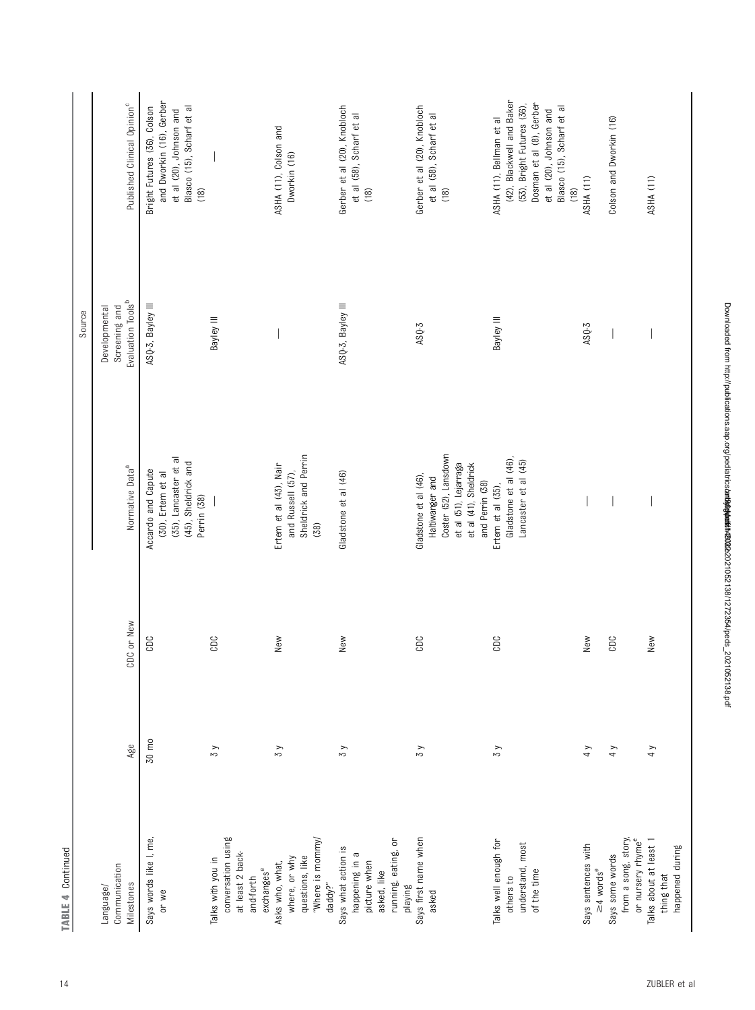|                                                                                                        |               |            |                                                                                                                                        | Source                                                          |                                                                                                                                                                                 |
|--------------------------------------------------------------------------------------------------------|---------------|------------|----------------------------------------------------------------------------------------------------------------------------------------|-----------------------------------------------------------------|---------------------------------------------------------------------------------------------------------------------------------------------------------------------------------|
| Communication<br>Milestones<br>Language/                                                               | Age           | CDC or New | Normative Data <sup>a</sup>                                                                                                            | Evaluation Tools <sup>b</sup><br>Screening and<br>Developmental | Published Clinical Opinion <sup>c</sup>                                                                                                                                         |
| Says words like I, me,<br>or we                                                                        | 30 mo         | CDC        | (35), Lancaster et al<br>(45), Sheldrick and<br>Accardo and Capute<br>(30), Ertem et al<br>Perrin (38)                                 | ASQ-3, Bayley III                                               | and Dworkin (16), Gerber<br>Bright Futures (36), Colson<br>Blasco (15), Scharf et al<br>et al (20), Johnson and<br>(18)                                                         |
| conversation using<br>at least 2 back-<br>Talks with you in<br>exchanges <sup>e</sup><br>and-forth     | $\zeta$       | CDC        |                                                                                                                                        | Bayley III                                                      |                                                                                                                                                                                 |
| "Where is mommy/<br>questions, like<br>where, or why<br>Asks who, what,<br>daddy?"                     | $\zeta$       | New        | Sheldrick and Perrin<br>Ertem et al (43), Nair<br>and Russell (57),<br>(38)                                                            |                                                                 | ASHA (11), Colson and<br>Dworkin (16)                                                                                                                                           |
| running, eating, or<br>Says what action is<br>happening in a<br>picture when<br>asked, like<br>playing | $\zeta$       | New        | Gladstone et al (46)                                                                                                                   | ASQ-3, Bayley III                                               | Gerber et al (20), Knobloch<br>et al (58), Scharf et al<br>(18)                                                                                                                 |
| Says first name when<br>asked                                                                          | $\zeta$       | CDC        | Coster (52), Lansdown<br>et al (51), Lejarraga<br>et al (41), Sheldrick<br>Gladstone et al (46),<br>Haltiwanger and<br>and Perrin (38) | ASQ-3                                                           | Gerber et al (20), Knobloch<br>et al (58), Scharf et al<br>(18)                                                                                                                 |
| Talks well enough for<br>understand, most<br>of the time<br>others to                                  | $\zeta$       | CDC        | Gladstone et al (46),<br>Lancaster et al (45)<br>Ertem et al (35),                                                                     | Bayley III                                                      | (42), Blackwell and Baker<br>Dosman et al (8), Gerber<br>(53), Bright Futures (36),<br>Blasco (15), Scharf et al<br>et al (20), Johnson and<br>ASHA (11), Bellman et al<br>(18) |
| Says sentences with<br>$\geq$ 4 words <sup>e</sup>                                                     | $\frac{1}{4}$ | New        |                                                                                                                                        | $ASQ-3$                                                         | ASHA (11)                                                                                                                                                                       |
| from a song, story,<br>Says some words                                                                 | 4 y           | CDC        |                                                                                                                                        |                                                                 | Colson and Dworkin (16)                                                                                                                                                         |
| or nursery rhyme <sup>e</sup><br>Talks about at least 1<br>happened during<br>thing that               | 4y            | New        |                                                                                                                                        |                                                                 | ASHA (11)                                                                                                                                                                       |

TABLE 4 Continued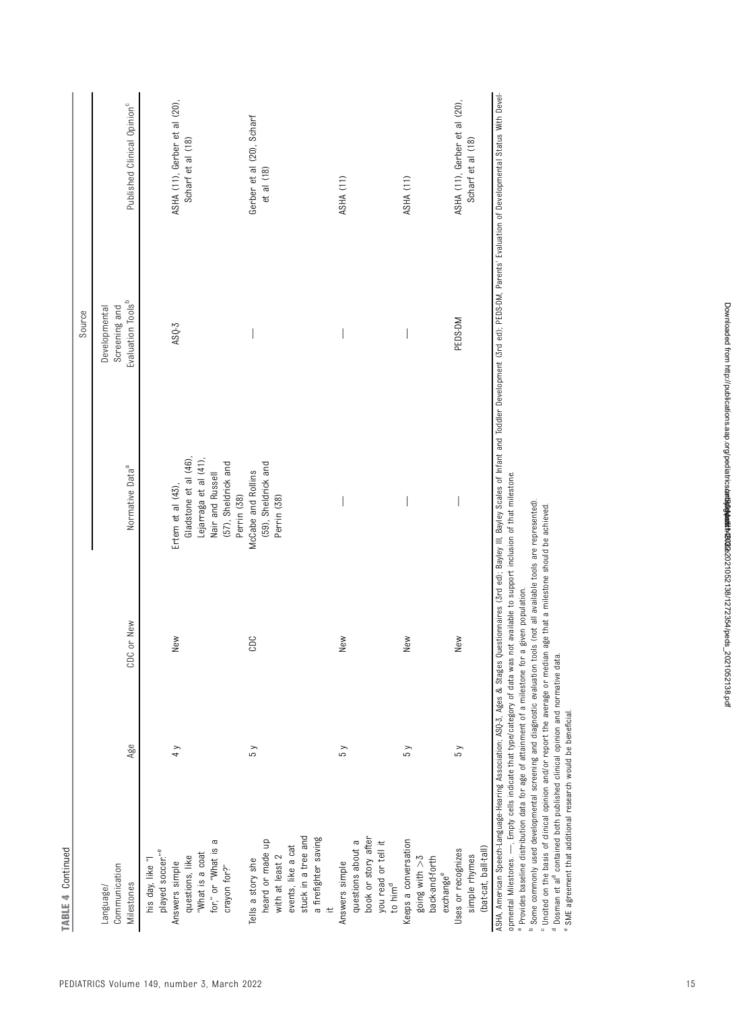| CDC or New<br>New<br>CDC<br>Age<br>$\frac{1}{4}$<br>5 <sub>y</sub><br>stuck in a tree and<br>heard or made up<br>for," or "What is a<br>events, like a cat<br>played soccer." <sup>e</sup><br>"What is a coat<br>with at least 2<br>questions, like<br>Tells a story she<br>his day, like "I<br>Answers simple<br>Communication<br>crayon for?"<br>Milestones<br>Language/ | Gladstone et al (46),<br>Lejarraga et al (41),<br>(57), Sheldrick and<br>(59), Sheldrick and<br>Normative Data <sup>a</sup><br>McCabe and Rollins<br>Nair and Russell<br>Ertem et al (43),<br>Perrin (38)<br>Perrin (38) | Evaluation Tools <sup>b</sup><br>Screening and<br>Developmental<br>$ASQ-3$ | ASHA (11), Gerber et al (20),<br>Published Clinical Opinion <sup>c</sup><br>Gerber et al (20), Scharf<br>Scharf et al (18)<br>et al (18) |
|----------------------------------------------------------------------------------------------------------------------------------------------------------------------------------------------------------------------------------------------------------------------------------------------------------------------------------------------------------------------------|--------------------------------------------------------------------------------------------------------------------------------------------------------------------------------------------------------------------------|----------------------------------------------------------------------------|------------------------------------------------------------------------------------------------------------------------------------------|
|                                                                                                                                                                                                                                                                                                                                                                            |                                                                                                                                                                                                                          |                                                                            |                                                                                                                                          |
|                                                                                                                                                                                                                                                                                                                                                                            |                                                                                                                                                                                                                          |                                                                            |                                                                                                                                          |
|                                                                                                                                                                                                                                                                                                                                                                            |                                                                                                                                                                                                                          |                                                                            |                                                                                                                                          |
|                                                                                                                                                                                                                                                                                                                                                                            |                                                                                                                                                                                                                          |                                                                            |                                                                                                                                          |
|                                                                                                                                                                                                                                                                                                                                                                            |                                                                                                                                                                                                                          |                                                                            |                                                                                                                                          |
|                                                                                                                                                                                                                                                                                                                                                                            |                                                                                                                                                                                                                          |                                                                            |                                                                                                                                          |
|                                                                                                                                                                                                                                                                                                                                                                            |                                                                                                                                                                                                                          |                                                                            |                                                                                                                                          |
|                                                                                                                                                                                                                                                                                                                                                                            |                                                                                                                                                                                                                          |                                                                            |                                                                                                                                          |
|                                                                                                                                                                                                                                                                                                                                                                            |                                                                                                                                                                                                                          |                                                                            |                                                                                                                                          |
|                                                                                                                                                                                                                                                                                                                                                                            |                                                                                                                                                                                                                          |                                                                            |                                                                                                                                          |
| a firefighter saving                                                                                                                                                                                                                                                                                                                                                       |                                                                                                                                                                                                                          |                                                                            |                                                                                                                                          |
|                                                                                                                                                                                                                                                                                                                                                                            |                                                                                                                                                                                                                          |                                                                            |                                                                                                                                          |
| New<br>5y<br>Answers simple                                                                                                                                                                                                                                                                                                                                                |                                                                                                                                                                                                                          |                                                                            | ASHA (11)                                                                                                                                |
| questions about a                                                                                                                                                                                                                                                                                                                                                          |                                                                                                                                                                                                                          |                                                                            |                                                                                                                                          |
| book or story after                                                                                                                                                                                                                                                                                                                                                        |                                                                                                                                                                                                                          |                                                                            |                                                                                                                                          |
| you read or tell it<br>to him <sup>d</sup>                                                                                                                                                                                                                                                                                                                                 |                                                                                                                                                                                                                          |                                                                            |                                                                                                                                          |
|                                                                                                                                                                                                                                                                                                                                                                            |                                                                                                                                                                                                                          |                                                                            |                                                                                                                                          |
| New<br>5 y<br>Keeps a conversation                                                                                                                                                                                                                                                                                                                                         |                                                                                                                                                                                                                          |                                                                            | ASHA (11)                                                                                                                                |
| going with $>3$                                                                                                                                                                                                                                                                                                                                                            |                                                                                                                                                                                                                          |                                                                            |                                                                                                                                          |
| back-and-forth                                                                                                                                                                                                                                                                                                                                                             |                                                                                                                                                                                                                          |                                                                            |                                                                                                                                          |
| exchange <sup>e</sup>                                                                                                                                                                                                                                                                                                                                                      |                                                                                                                                                                                                                          |                                                                            |                                                                                                                                          |
| New<br>5 y<br>Uses or recognizes                                                                                                                                                                                                                                                                                                                                           |                                                                                                                                                                                                                          | PEDS-DM                                                                    | ASHA (11), Gerber et al (20),                                                                                                            |
| simple rhymes                                                                                                                                                                                                                                                                                                                                                              |                                                                                                                                                                                                                          |                                                                            | Scharf et al (18)                                                                                                                        |
| (bat-cat, ball-tall)                                                                                                                                                                                                                                                                                                                                                       |                                                                                                                                                                                                                          |                                                                            |                                                                                                                                          |

opmental Milestones. —, Empty cells indicate that type/category of data was not available to support inclusion of that milestone. уas tmpty cells indicate that type/category of data opmental Milestones.

a provides baseline distribution data for age of attainment of a milestone for a given population. Provides baseline distribution data for age of attainment of a milestone for a given population.

<sup>b</sup> Some commonly used developmental screening and diagnostic evaluation tools (not all available tools are represented). Some commonly used developmental screening and diagnostic evaluation tools (not all available tools are represented).

Uncited on the basis of clinical opinion and/or report the average or median age that a milestone should be achieved.

co<del>c</del> <sup>d</sup> Dosman et al<sup>[8](#page-26-0)</sup> contained both published clinical opinion and normative data.

SME agreement that additional research would be beneficial.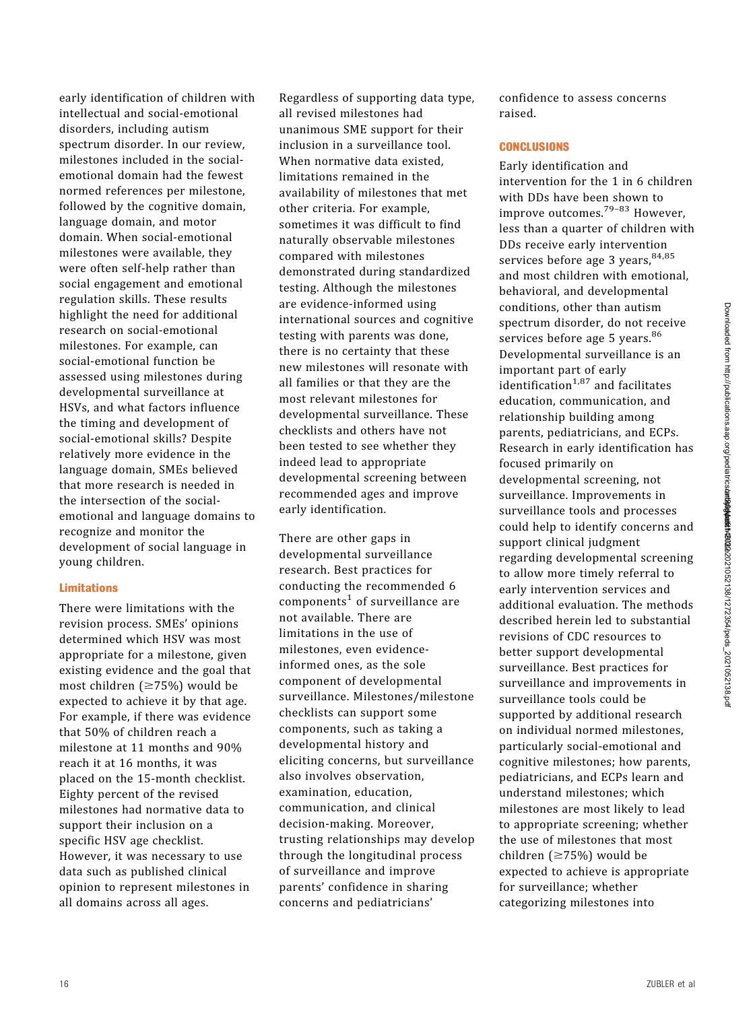early identification of children with intellectual and social-emotional disorders, including autism spectrum disorder. In our review, milestones included in the socialemotional domain had the fewest normed references per milestone, followed by the cognitive domain, language domain, and motor domain. When social-emotional milestones were available, they were often self-help rather than social engagement and emotional regulation skills. These results highlight the need for additional research on social-emotional milestones. For example, can social-emotional function be assessed using milestones during developmental surveillance at HSVs, and what factors influence the timing and development of social-emotional skills? Despite relatively more evidence in the language domain, SMEs believed that more research is needed in the intersection of the socialemotional and language domains to recognize and monitor the development of social language in young children.

# Limitations

There were limitations with the revision process. SMEs' opinions determined which HSV was most appropriate for a milestone, given existing evidence and the goal that most children  $(\geq 75\%)$  would be expected to achieve it by that age. For example, if there was evidence that 50% of children reach a milestone at 11 months and 90% reach it at 16 months, it was placed on the 15-month checklist. Eighty percent of the revised milestones had normative data to support their inclusion on a specific HSV age checklist. However, it was necessary to use data such as published clinical opinion to represent milestones in all domains across all ages.

Regardless of supporting data type, all revised milestones had unanimous SME support for their inclusion in a surveillance tool. When normative data existed, limitations remained in the availability of milestones that met other criteria. For example, sometimes it was difficult to find naturally observable milestones compared with milestones demonstrated during standardized testing. Although the milestones are evidence-informed using international sources and cognitive testing with parents was done, there is no certainty that these new milestones will resonate with all families or that they are the most relevant milestones for developmental surveillance. These checklists and others have not been tested to see whether they indeed lead to appropriate developmental screening between recommended ages and improve early identification.

There are other gaps in developmental surveillance research. Best practices for conducting the recommended 6 components<sup>[1](#page-26-0)</sup> of surveillance are not available. There are limitations in the use of milestones, even evidenceinformed ones, as the sole component of developmental surveillance. Milestones/milestone checklists can support some components, such as taking a developmental history and eliciting concerns, but surveillance also involves observation, examination, education, communication, and clinical decision-making. Moreover, trusting relationships may develop through the longitudinal process of surveillance and improve parents' confidence in sharing concerns and pediatricians'

confidence to assess concerns raised.

## **CONCLUSIONS**

Early identification and intervention for the 1 in 6 children with DDs have been shown to improve outcomes.79–[83](#page-28-0) However, less than a quarter of children with DDs receive early intervention services before age 3 years, [84](#page-28-0),[85](#page-28-0) and most children with emotional, behavioral, and developmental conditions, other than autism spectrum disorder, do not receive services before age 5 years.<sup>[86](#page-28-0)</sup> Developmental surveillance is an important part of early  $\det$  identification<sup>[1,](#page-26-0)[87](#page-28-0)</sup> and facilitates education, communication, and relationship building among parents, pediatricians, and ECPs. Research in early identification has focused primarily on developmental screening, not surveillance. Improvements in surveillance tools and processes could help to identify concerns and support clinical judgment regarding developmental screening to allow more timely referral to early intervention services and additional evaluation. The methods described herein led to substantial revisions of CDC resources to better support developmental surveillance. Best practices for surveillance and improvements in surveillance tools could be supported by additional research on individual normed milestones, particularly social-emotional and cognitive milestones; how parents, pediatricians, and ECPs learn and understand milestones; which milestones are most likely to lead to appropriate screening; whether the use of milestones that most children ( $\geq$ 75%) would be expected to achieve is appropriate for surveillance; whether categorizing milestones into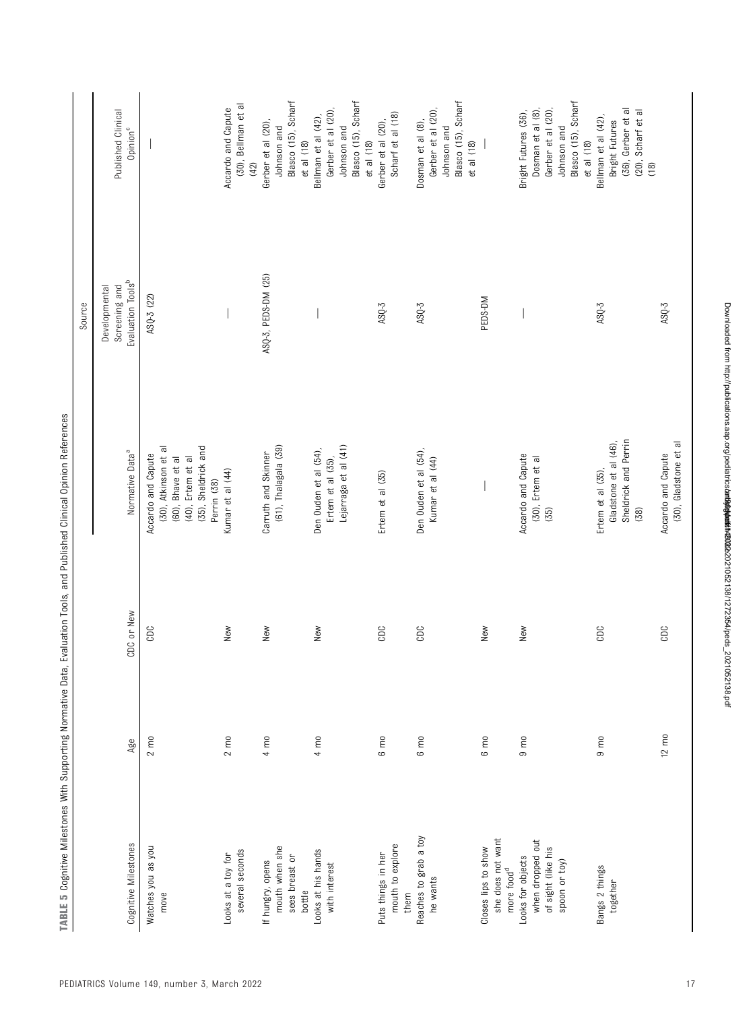|                                                                              |                 |            |                                                                                                                            | Source                                                          |                                                                                                                         |
|------------------------------------------------------------------------------|-----------------|------------|----------------------------------------------------------------------------------------------------------------------------|-----------------------------------------------------------------|-------------------------------------------------------------------------------------------------------------------------|
| Cognitive Milestones                                                         | Age             | CDC or New | Normative Data <sup>a</sup>                                                                                                | Evaluation Tools <sup>b</sup><br>Screening and<br>Developmental | Published Clinical<br>Opinion <sup>c</sup>                                                                              |
| Watches you as you<br>move                                                   | $2 \text{ mo}$  | CDC        | (35), Sheldrick and<br>(30), Atkinson et al<br>Accardo and Capute<br>(40), Ertem et al<br>(60), Bhave et al<br>Perrin (38) | ASQ-3 (22)                                                      |                                                                                                                         |
| several seconds<br>Looks at a toy for                                        | $2 \text{ m0}$  | New        | Kumar et al (44)                                                                                                           |                                                                 | (30), Bellman et al<br>Accardo and Capute<br>(42)                                                                       |
| mouth when she<br>sees breast or<br>If hungry, opens<br>bottle               | $4 \text{ mo}$  | New        | (61), Thalagala (39)<br>Carruth and Skinner                                                                                | ASQ-3, PEDS-DM (25)                                             | Blasco (15), Scharf<br>Gerber et al (20),<br>Johnson and<br>$et$ al $(18)$                                              |
| Looks at his hands<br>with interest                                          | $4 \text{ mo}$  | New        | Lejarraga et al (41)<br>Den Ouden et al (54),<br>Ertem et al (35),                                                         |                                                                 | Blasco (15), Scharf<br>Gerber et al (20),<br>Bellman et al (42),<br>Johnson and<br>$et$ al $(18)$                       |
| mouth to explore<br>Puts things in her<br>them                               | $6 \text{ m}$   | CDC        | Ertem et al (35)                                                                                                           | $ASQ-3$                                                         | Scharf et al (18)<br>Gerber et al (20),                                                                                 |
| Reaches to grab a toy<br>he wants                                            | 6 mo            | CDC        | Den Ouden et al (54),<br>Kumar et al (44)                                                                                  | $ASQ-3$                                                         | Blasco (15), Scharf<br>Gerber et al (20),<br>Dosman et al (8),<br>Johnson and<br>et al (18)                             |
| she does not want<br>Closes lips to show<br>more food <sup>d</sup>           | 6 mo            | New        |                                                                                                                            | PEDS-DM                                                         |                                                                                                                         |
| when dropped out<br>of sight (like his<br>Looks for objects<br>spoon or toy) | $9 \text{ m}$   | New        | Accardo and Capute<br>(30), Ertem et al<br>(35)                                                                            |                                                                 | Blasco (15), Scharf<br>Dosman et al (8),<br>Gerber et al (20),<br>Bright Futures (36),<br>Johnson and<br>$et$ al $(18)$ |
| Bangs 2 things<br>together                                                   | $9 \text{ m}$   | CDC        | Sheldrick and Perrin<br>Gladstone et al (46),<br>Ertem et al (35),<br>(38)                                                 | $ASQ-3$                                                         | (36), Gerber et al<br>(20), Scharf et al<br>Bellman et al (42),<br>Bright Futures<br>(18)                               |
|                                                                              | $12 \text{ mO}$ | CDC        | (30), Gladstone et al<br>Accardo and Capute                                                                                | $ASQ-3$                                                         |                                                                                                                         |

TABLE 5 Cognitive Milestones With Supporting Normative Data, Evaluation Tools, and Published Clinical Opinion References TABLE 5 Cognitive Milestones With Supporting Normative Data, Evaluation Tools, and Published Clinical Opinion References

Downloaded from http://publications.aap.org/pediatricskart909042021052138/1272354/peds\_2021052138.pdf Downloaded from http://publications.aap.org/pediatrics/article-pdf/149/3/e2021052138/1272354/peds\_2021052138.pdf by guest on 30 March 2022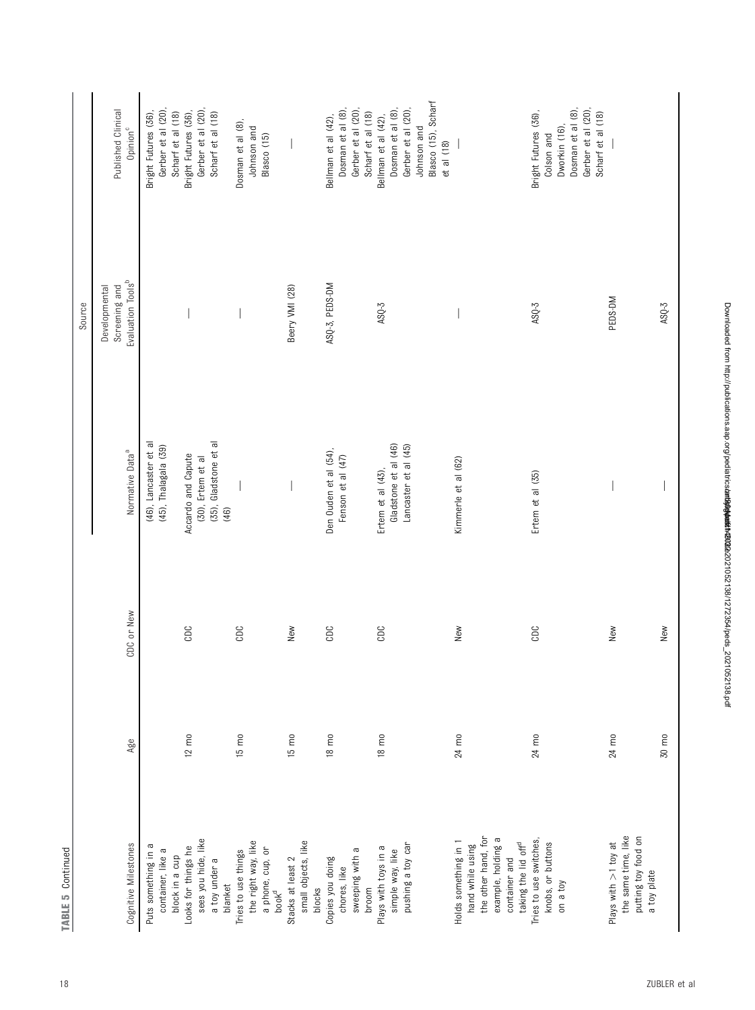|                                    |                 |            |                             | Source                         |                                         |
|------------------------------------|-----------------|------------|-----------------------------|--------------------------------|-----------------------------------------|
|                                    |                 |            |                             | Screening and<br>Developmental | Published Clinical                      |
| Cognitive Milestones               | Age             | CDC or New | Normative Data <sup>a</sup> | Evaluation Tools <sup>b</sup>  | Opinion <sup>c</sup>                    |
| Puts something in a                |                 |            | (46), Lancaster et al       |                                | Bright Futures (36)                     |
| container, like a                  |                 |            | (45), Thalagala (39)        |                                | Gerber et al (20)                       |
| block in a cup                     |                 |            |                             |                                | Scharf et al (18)                       |
| Looks for things he                | $12 \text{ m0}$ | CDC        | Accardo and Capute          |                                | Bright Futures (36),                    |
| sees you hide, like                |                 |            | (30), Ertem et al           |                                | Gerber et al (20)                       |
| a toy under a                      |                 |            | (35), Gladstone et al       |                                | Scharf et al (18)                       |
| blanket                            |                 |            | (46)                        |                                |                                         |
| Tries to use things                | $15 \text{ mo}$ | CDC        |                             |                                | Dosman et al (8),                       |
| the right way, like                |                 |            |                             |                                | Johnson and                             |
| a phone, cup, or                   |                 |            |                             |                                | Blasco (15)                             |
| book <sup>d</sup>                  |                 |            |                             |                                |                                         |
| Stacks at least 2                  | $15 \text{ mo}$ | New        |                             | Beery VMI (28)                 |                                         |
| small objects, like                |                 |            |                             |                                |                                         |
| blocks                             |                 |            |                             |                                |                                         |
| Copies you doing                   | $18 \text{ m0}$ | CDC        | Den Ouden et al (54),       | ASQ-3, PEDS-DM                 | Bellman et al (42),                     |
| chores, like                       |                 |            | Fenson et al (47)           |                                | Dosman et al (8),                       |
| sweeping with a                    |                 |            |                             |                                | Gerber et al (20),                      |
| broom                              |                 |            |                             |                                | Scharf et al (18)                       |
| Plays with toys in a               | $18 \text{ m0}$ | CDC        | Ertem et al $(43)$ ,        | $ASQ-3$                        | Bellman et al (42),                     |
| simple way, like                   |                 |            | Gladstone et al (46)        |                                | Dosman et al (8)                        |
| pushing a toy car                  |                 |            | Lancaster et al (45)        |                                | Gerber et al (20),                      |
|                                    |                 |            |                             |                                | Johnson and                             |
|                                    |                 |            |                             |                                | Blasco (15), Scharf                     |
|                                    |                 |            |                             |                                | et al (18)                              |
| Holds something in 1               | 24 mo           | New        | Kimmerle et al (62)         |                                |                                         |
| hand while using                   |                 |            |                             |                                |                                         |
| the other hand, for                |                 |            |                             |                                |                                         |
| example, holding a                 |                 |            |                             |                                |                                         |
| container and                      |                 |            |                             |                                |                                         |
| taking the lid off <sup>d</sup>    |                 |            |                             |                                |                                         |
| Tries to use switches,             | 24 mo           | CDC        | Ertem et al (35)            | $ASQ-3$                        | Bright Futures (36),                    |
| knobs, or buttons                  |                 |            |                             |                                | Colson and                              |
| on a toy                           |                 |            |                             |                                | Dworkin (16),                           |
|                                    |                 |            |                             |                                | Dosman et al (8),                       |
|                                    |                 |            |                             |                                | Gerber et al (20),<br>Scharf et al (18) |
| Plays with >1 toy at               | 24 mo           | New        |                             | PEDS-DM                        |                                         |
| the same time, like                |                 |            |                             |                                |                                         |
| putting toy food on<br>a toy plate |                 |            |                             |                                |                                         |
|                                    | 30 mo           | New        |                             | $ASQ-3$                        |                                         |

**TABLE 5 Continued**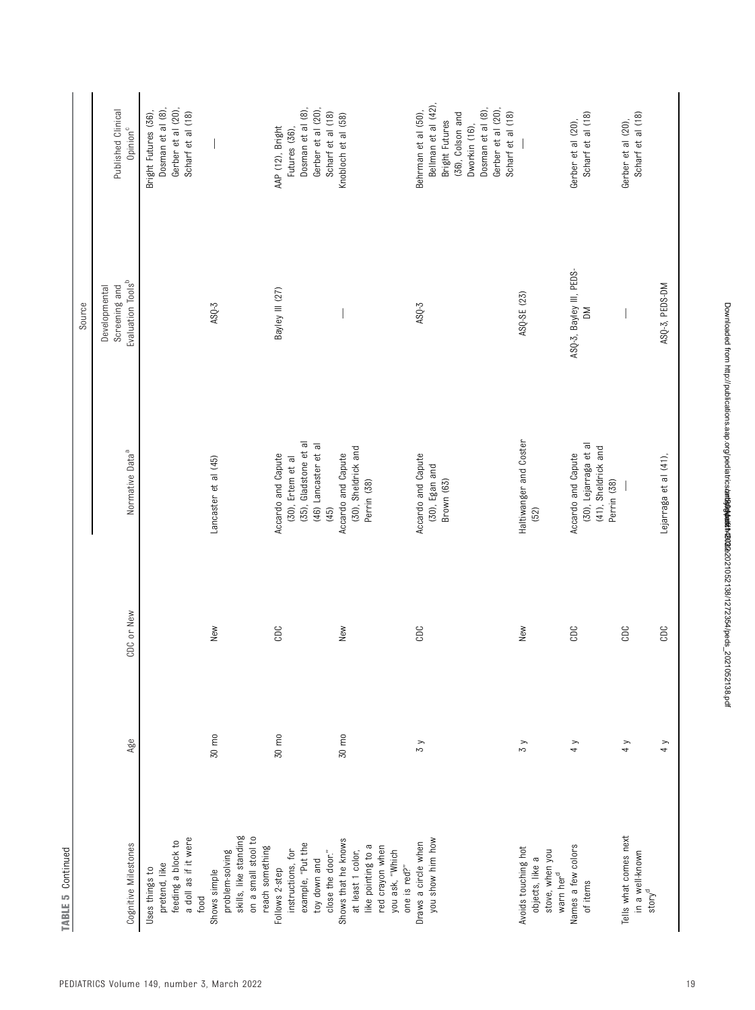|                                                                                                                      |         |            |                                                                                                  | Source                                                          |                                                                                                                                                                  |
|----------------------------------------------------------------------------------------------------------------------|---------|------------|--------------------------------------------------------------------------------------------------|-----------------------------------------------------------------|------------------------------------------------------------------------------------------------------------------------------------------------------------------|
| Cognitive Milestones                                                                                                 | Age     | CDC or New | Normative Data <sup>a</sup>                                                                      | Evaluation Tools <sup>b</sup><br>Screening and<br>Developmental | Published Clinical<br>Opinion <sup>c</sup>                                                                                                                       |
| a doll as if it were<br>feeding a block to<br>pretend, like<br>Uses things to<br>food                                |         |            |                                                                                                  |                                                                 | Dosman et al (8),<br>Gerber et al (20),<br>Scharf et al (18)<br>Bright Futures (36),                                                                             |
| skills, like standing<br>on a small stool to<br>reach something<br>problem-solving<br>Shows simple                   | 30 mo   | New        | Lancaster et al (45)                                                                             | $ASQ-3$                                                         |                                                                                                                                                                  |
| example, "Put the<br>instructions, for<br>close the door."<br>toy down and<br>Follows 2-step                         | 30 mo   | CDC        | (35), Gladstone et al<br>(46) Lancaster et al<br>Accardo and Capute<br>(30), Ertem et al<br>(45) | Bayley III (27)                                                 | Dosman et al (8),<br>Gerber et al (20),<br>Scharf et al (18)<br>AAP (12), Bright<br>Futures (36),                                                                |
| Shows that he knows<br>like pointing to a<br>red crayon when<br>you ask, "Which<br>at least 1 color,<br>one is red?" | 30 mo   | New        | (30), Sheldrick and<br>Accardo and Capute<br>Perrin (38)                                         |                                                                 | Knobloch et al (58)                                                                                                                                              |
| you show him how<br>Draws a circle when                                                                              | $\zeta$ | CDC        | Accardo and Capute<br>(30), Egan and<br>Brown (63)                                               | $ASQ-3$                                                         | Bellman et al (42)<br>Dosman et al (8),<br>Gerber et al (20),<br>Behrman et al (50),<br>Scharf et al (18)<br>(36), Colson and<br>Bright Futures<br>Dworkin (16), |
| Avoids touching hot<br>stove, when you<br>objects, like a<br>warn her <sup>d</sup>                                   | $\zeta$ | New        | Haltiwanger and Coster<br>(52)                                                                   | ASQ-SE (23)                                                     |                                                                                                                                                                  |
| Names a few colors<br>of items                                                                                       | 4y      | CDC        | (30), Lejarraga et al<br>(41), Sheldrick and<br>Accardo and Capute<br>Perrin (38)                | ASQ-3, Bayley III, PEDS-<br>$\geq$                              | Scharf et al (18)<br>Gerber et al (20),                                                                                                                          |
| Tells what comes next<br>in a well-known<br>strong <sup>d</sup>                                                      | 4 y     | CDC        |                                                                                                  |                                                                 | Scharf et al (18)<br>Gerber et al (20),                                                                                                                          |
|                                                                                                                      | 4y      | CDC        | Lejarraga et al (41),                                                                            | ASQ-3, PEDS-DM                                                  |                                                                                                                                                                  |

TABLE 5 Continued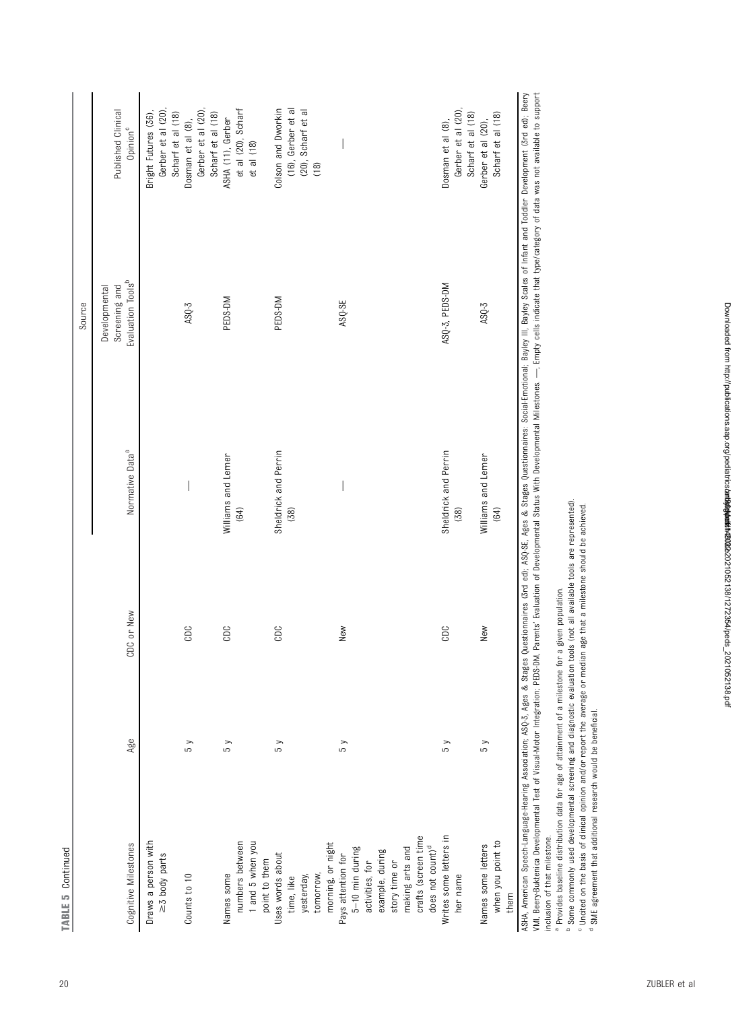| Š<br>ì |  |
|--------|--|
|        |  |
| L.     |  |
|        |  |
|        |  |
|        |  |
|        |  |
|        |  |

|                                                                                                                                                                                                 |               |            |                                                                                                                                                                       | Source                         |                                                                        |
|-------------------------------------------------------------------------------------------------------------------------------------------------------------------------------------------------|---------------|------------|-----------------------------------------------------------------------------------------------------------------------------------------------------------------------|--------------------------------|------------------------------------------------------------------------|
|                                                                                                                                                                                                 |               |            |                                                                                                                                                                       | Screening and<br>Developmental | Published Clinical                                                     |
| Cognitive Milestones                                                                                                                                                                            | Age           | CDC or New | Normative Data <sup>a</sup>                                                                                                                                           | Evaluation Tools <sup>b</sup>  | Opinion <sup>c</sup>                                                   |
| Draws a person with<br>$\geq 5$ body parts                                                                                                                                                      |               |            |                                                                                                                                                                       |                                | Gerber et al (20)<br>Bright Futures (36),<br>Scharf et al (18)         |
| Counts to 10                                                                                                                                                                                    | $\frac{1}{2}$ | CDC        |                                                                                                                                                                       | $ASQ-3$                        | Gerber et al (20)<br>Scharf et al (18)<br>Dosman et al (8),            |
| numbers between<br>1 and 5 when you<br>point to them<br>Names some                                                                                                                              | 5y            | CDC        | Williams and Lerner<br>(64)                                                                                                                                           | PEDS-DM                        | et al (20), Scharf<br>et al (18)<br>ASHA (11), Gerber                  |
| Uses words about<br>tomorrow,<br>yesterday,<br>time, like                                                                                                                                       | 5 y           | CDC        | Sheldrick and Perrin<br>(38)                                                                                                                                          | PEDS-DM                        | (16), Gerber et al<br>Colson and Dworkin<br>(20), Scharf et al<br>(18) |
| crafts (screen time<br>morning, or night<br>Pays attention for<br>does not count) <sup>d</sup><br>$5 - 10$ min during<br>example, during<br>story time or<br>making arts and<br>activities, for | $\frac{8}{3}$ | New        |                                                                                                                                                                       | ASQ-SE                         |                                                                        |
| Writes some letters in<br>her name                                                                                                                                                              | $\sqrt{5}$    | CDC        | Sheldrick and Perrin<br>(38)                                                                                                                                          | ASQ-3, PEDS-DM                 | Gerber et al (20),<br>Scharf et al (18)<br>Dosman et al (8),           |
| when you point to<br>Names some letters<br>them                                                                                                                                                 | 5y            | New        | Williams and Lerner<br>(64)                                                                                                                                           | $ASQ-3$                        | Scharf et al (18)<br>Gerber et al (20),                                |
|                                                                                                                                                                                                 |               |            | Amazican Spach-Japping Association. AGOZ 1600 & Stages (1600 & Stages AG): AGOCS Ados Duastionalisme: Social Emerican Baudeur Stadt David De Tradisco David Cadi Baam |                                |                                                                        |

ASHA, American Speech-Language-Hearing Asociation, ASQ-3, Ages Questionnaires and a Scola Emotional; Bayley Scales of Infant and Toddler Development (3rd ed); Beery<br>VMI, Beery-Buktenica Developmental Test of Visual-Motor I ASHA, American Speech-Language-Hearing Association: ASD-3. Ages & Stages Ouestionnaires: & Stages Ouestionnaires: Social-Emotional: Bayley III, Bayley Scales of Infant and Toddler Development (3rd ed): Beery WM. Been-Buktenica Developmental Test of Visual-Motor Integration; PEDS-DM, Parents' Evaluation of Developmental Status With Developmental Millestones. —. Empty cells indicate that type/category of data was not available t inclusion of that milestone. inclusion of that milestone.

<sup>a</sup> Provides baseline distribution data for age of attainment of a milestone for a given population. Provides baseline distribution data for age of attainment of a milestone for a given population.

Some commonly used developmental screening and diagnostic evaluation tools (not all available tools are represented).

bc d Uncited on the basis of clinical opinion and/or report the average or median age that a milestone should be achieved.

SME agreement that additional research would be beneficial.

Downloaded from http://publications.aap.org/pediatrics/article-pdf/149/3/e2021052138/1272354/peds\_2021052138.pdf by guest on 30 March 2022

Downloaded from http://publications.aap.org/pediatrics**/arti9004det61/1202**2021052138/1272354/peds\_2021052138.pdf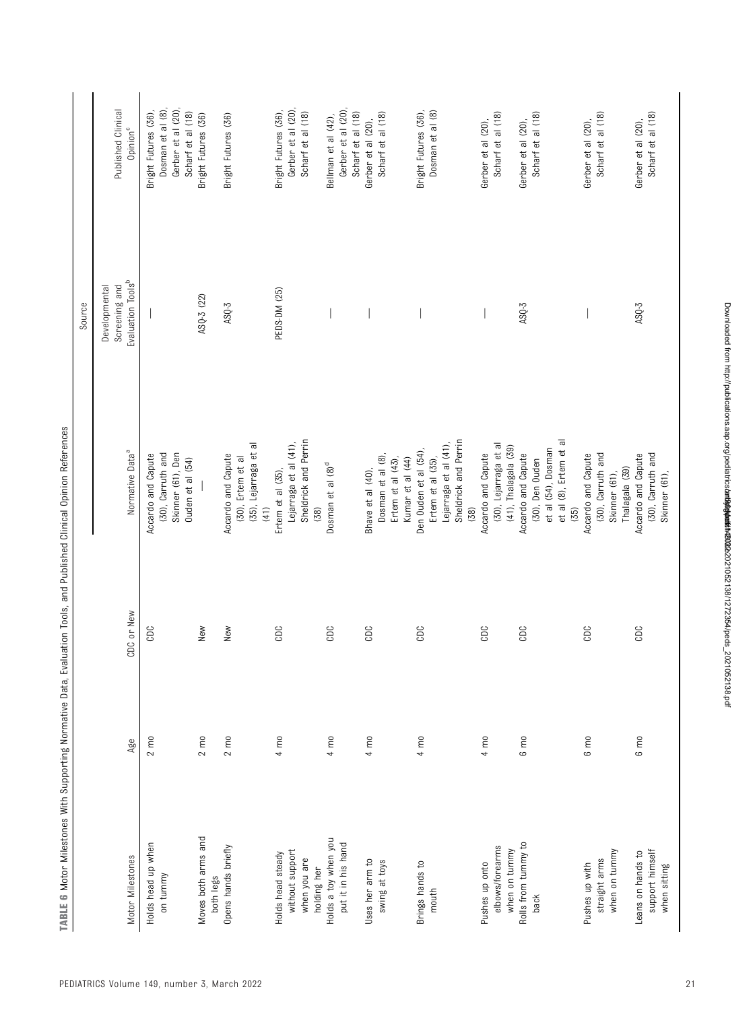|                                  |                  |            |                                            | Source                         |                                        |
|----------------------------------|------------------|------------|--------------------------------------------|--------------------------------|----------------------------------------|
|                                  |                  |            |                                            | Developmental<br>Screening and | Published Clinical                     |
| Motor Milestones                 | Age              | CDC or New | Normative Data <sup>a</sup>                | Evaluation Tools <sup>b</sup>  | Opinion <sup>c</sup>                   |
| Holds head up when               | $2 \, \text{m0}$ | CDC        | Accardo and Capute                         |                                | Bright Futures (36),                   |
| on tummy                         |                  |            | (30), Carruth and<br>Skinner (61), Den     |                                | Dosman et al (8),<br>Gerber et al (20) |
|                                  |                  |            | Ouden et al (54)                           |                                | Scharf et al (18)                      |
| Moves both arms and<br>both legs | $2 \text{ mo}$   | New        |                                            | ASQ-3 (22)                     | Bright Futures (36)                    |
| Opens hands briefly              | $2 \text{ mo}$   | New        | Accardo and Capute                         | $ASQ-3$                        | Bright Futures (36)                    |
|                                  |                  |            | (35), Lejarraga et al<br>(30), Ertem et al |                                |                                        |
|                                  |                  |            | (41)                                       |                                |                                        |
| Holds head steady                | $4 \text{ mo}$   | CDC        | Ertem et al (35),                          | PEDS-DM (25)                   | Bright Futures (36),                   |
| without support                  |                  |            | Lejarraga et al (41),                      |                                | Gerber et al (20),                     |
| when you are<br>holding her      |                  |            | Sheldrick and Perrin<br>(38)               |                                | Scharf et al (18)                      |
| Holds a toy when you             | $4 \text{ mo}$   | CDC        | Dosman et al (8) <sup>d</sup>              |                                | Bellman et al (42),                    |
| put it in his hand               |                  |            |                                            |                                | Gerber et al (20)                      |
|                                  |                  |            |                                            |                                | Scharf et al (18)                      |
| Uses her arm to                  | $4 \text{ mo}$   | CDC        | Bhave et al (40),                          |                                | Gerber et al (20),                     |
| swing at toys                    |                  |            | Dosman et al (8),                          |                                | Scharf et al (18)                      |
|                                  |                  |            | Ertem et al $(43)$ ,                       |                                |                                        |
|                                  |                  |            | Kumar et al (44)                           |                                |                                        |
| Brings hands to                  | 4 mo             | CDC        | Den Ouden et al (54),                      |                                | Bright Futures (36),                   |
| mouth                            |                  |            | Ertem et al (35),                          |                                | Dosman et al (8)                       |
|                                  |                  |            | Lejarraga et al (41),                      |                                |                                        |
|                                  |                  |            | Sheldrick and Perrin                       |                                |                                        |
|                                  |                  |            | (38)                                       |                                |                                        |
| Pushes up onto                   | $4 \text{ m0}$   | CDC        | Accardo and Capute                         |                                | Gerber et al (20),                     |
| elbows/forearms                  |                  |            | (30), Lejarraga et al                      |                                | Scharf et al (18)                      |
| when on tummy                    |                  |            | (41), Thalagala (39)                       |                                |                                        |
| Rolls from tummy to              | $6 \text{ m0}$   | CDC        | Accardo and Capute                         | $ASQ-3$                        | Gerber et al (20),                     |
| back                             |                  |            | (30), Den Ouden                            |                                | Scharf et al (18)                      |
|                                  |                  |            | et al (54), Dosman                         |                                |                                        |
|                                  |                  |            | $\overline{a}$<br>et al (8), Ertem et      |                                |                                        |
|                                  |                  |            | (35)                                       |                                |                                        |
| Pushes up with                   | 6 mo             | CDC        | Accardo and Capute                         |                                | Gerber et al (20),                     |
| straight arms                    |                  |            | (30), Carruth and                          |                                | Scharf et al (18)                      |
| when on tummy                    |                  |            | Skinner (61),                              |                                |                                        |
|                                  |                  |            | Thalagala (39)                             |                                |                                        |
| Leans on hands to                | $6 \text{ mo}$   | CDC        | Accardo and Capute                         | $ASQ-3$                        | Gerber et al (20),                     |
| support himself                  |                  |            | (30), Carruth and                          |                                | Scharf et al (18)                      |
| when sitting                     |                  |            | Skinner (61),                              |                                |                                        |

TABLE 6 Motor Milestones With Supporting Normative Data, Evaluation Tools, and Published Clinical Opinion References TABLE 6 Motor Milestones With Supporting Normative Data, Evaluation Tools, and Published Clinical Opinion References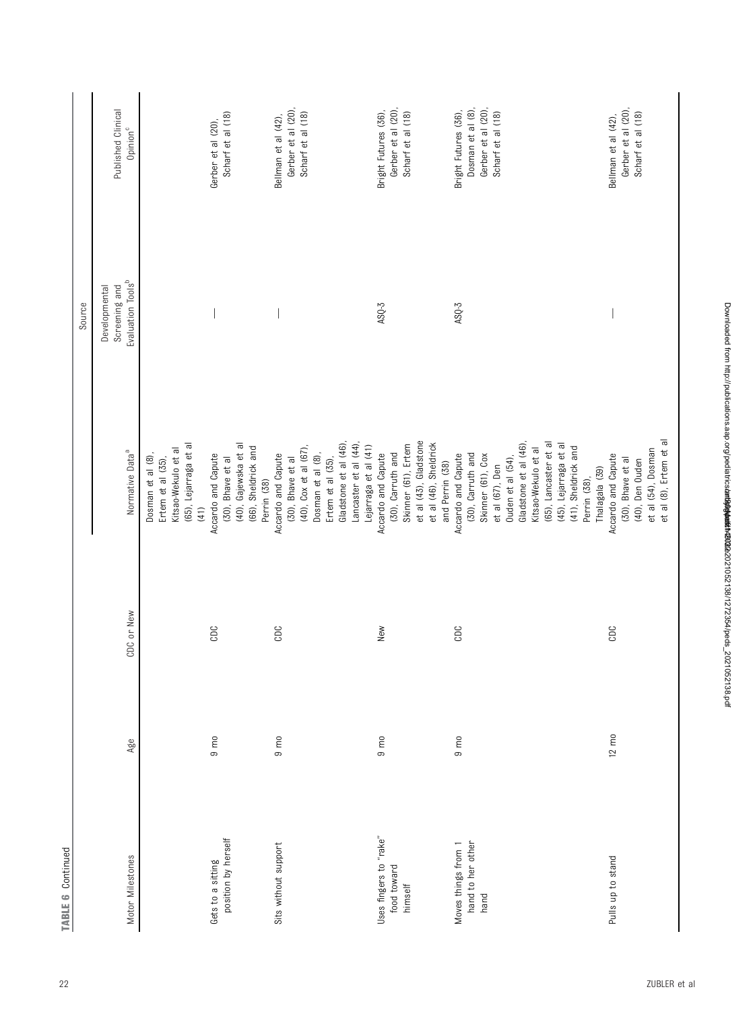| <b>TABLE 6 Continued</b> |                 |            |                                        |                                |                      |
|--------------------------|-----------------|------------|----------------------------------------|--------------------------------|----------------------|
|                          |                 |            |                                        | Source                         |                      |
|                          |                 |            |                                        | Screening and<br>Developmental | Published Clinical   |
| Motor Milestones         | Age             | CDC or New | Normative Data <sup>a</sup>            | Evaluation Tools <sup>b</sup>  | Opinion <sup>c</sup> |
|                          |                 |            | Dosman et al (8),<br>Ertem et al (35), |                                |                      |
|                          |                 |            | Kitsao-Wekulo et al                    |                                |                      |
|                          |                 |            | (65), Lejarraga et al<br>(41)          |                                |                      |
| Gets to a sitting        | $9 \text{ mO}$  | CDC        | Accardo and Capute                     |                                | Gerber et al (20),   |
| position by herself      |                 |            | (30), Bhave et al                      |                                | Scharf et al (18)    |
|                          |                 |            | (40), Gajewska et al                   |                                |                      |
|                          |                 |            | (66), Sheldrick and                    |                                |                      |
|                          |                 |            | Perrin (38)                            |                                |                      |
| Sits without support     | $9 \text{ m}$   | CDC        | Accardo and Capute                     |                                | Bellman et al (42),  |
|                          |                 |            | (30), Bhave et al                      |                                | Gerber et al (20),   |
|                          |                 |            | $(40)$ , Cox et al $(67)$ ,            |                                | Scharf et al (18)    |
|                          |                 |            | Dosman et al (8),                      |                                |                      |
|                          |                 |            | Ertem et al (35),                      |                                |                      |
|                          |                 |            | Gladstone et al (46),                  |                                |                      |
|                          |                 |            | Lancaster et al (44)                   |                                |                      |
|                          |                 |            | Lejarraga et al (41)                   |                                |                      |
| Uses fingers to "rake"   | $9 \text{ mO}$  | New        | Accardo and Capute                     | $ASQ-3$                        | Bright Futures (36), |
| food toward              |                 |            | (30), Carruth and                      |                                | Gerber et al (20),   |
| himself                  |                 |            | Skinner (61), Ertem                    |                                | Scharf et al (18)    |
|                          |                 |            | et al (43), Gladstone                  |                                |                      |
|                          |                 |            | et al (46), Sheldrick                  |                                |                      |
|                          |                 |            | and Perrin (38)                        |                                |                      |
| Moves things from 1      | $9 \text{ mO}$  | CDC        | Accardo and Capute                     | $ASQ-3$                        | Bright Futures (36), |
| hand to her other        |                 |            | (30), Carruth and                      |                                | Dosman et al (8),    |
| hand                     |                 |            | Skinner (61), Cox                      |                                | Gerber et al (20),   |
|                          |                 |            | et al (67), Den                        |                                | Scharf et al (18)    |
|                          |                 |            | Ouden et al (54)                       |                                |                      |
|                          |                 |            | Gladstone et al (46)                   |                                |                      |
|                          |                 |            | Kitsao-Wekulo et al                    |                                |                      |
|                          |                 |            | (65), Lancaster et al                  |                                |                      |
|                          |                 |            | (45), Lejarraga et al                  |                                |                      |
|                          |                 |            | (41), Sheldrick and                    |                                |                      |
|                          |                 |            | Perrin (38),                           |                                |                      |
|                          |                 |            | Thalagala (39)                         |                                |                      |
| Pulls up to stand        | $12 \text{ m0}$ | CDC        | Accardo and Capute                     |                                | Bellman et al (42),  |
|                          |                 |            | (30), Bhave et al                      |                                | Gerber et al (20),   |
|                          |                 |            | (40), Den Ouden                        |                                | Scharf et al (18)    |
|                          |                 |            | et al (54), Dosman                     |                                |                      |
|                          |                 |            | et al (8), Ertem et al                 |                                |                      |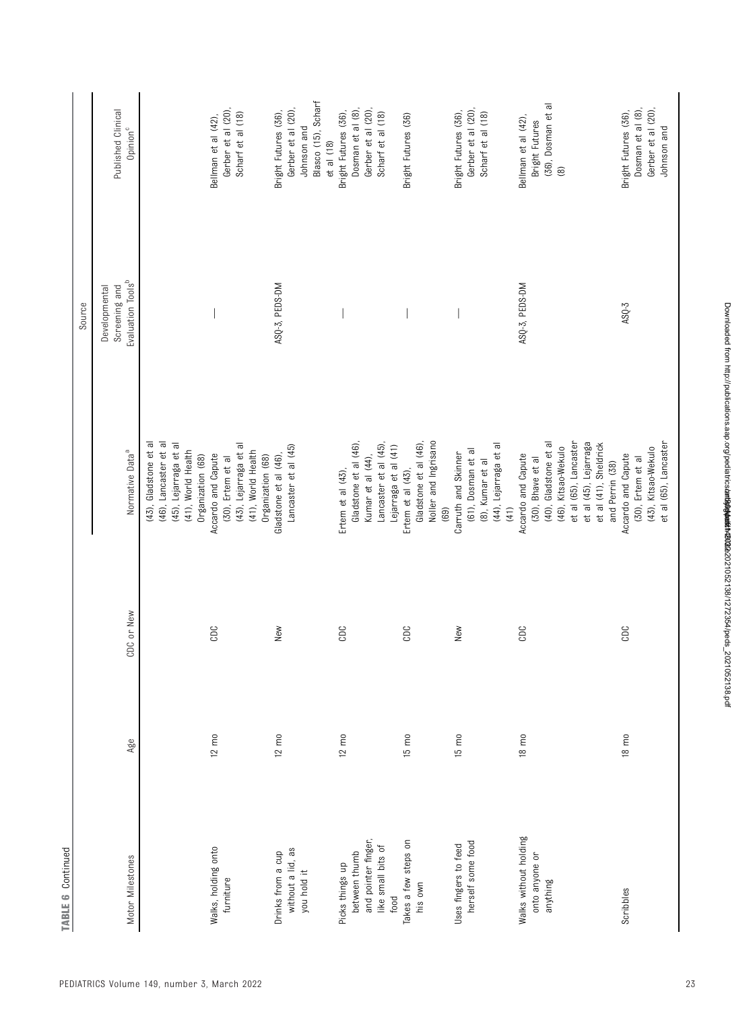| <b>TABLE 6 Continued</b>                                                              |                 |            |                                                                                                                                                                                       |                                                                 |                                                                                                |
|---------------------------------------------------------------------------------------|-----------------|------------|---------------------------------------------------------------------------------------------------------------------------------------------------------------------------------------|-----------------------------------------------------------------|------------------------------------------------------------------------------------------------|
|                                                                                       |                 |            |                                                                                                                                                                                       | Source                                                          |                                                                                                |
| Motor Milestones                                                                      | Age             | CDC or New | Normative Data <sup>a</sup>                                                                                                                                                           | Evaluation Tools <sup>b</sup><br>Screening and<br>Developmental | Published Clinical<br>Opinion <sup>c</sup>                                                     |
|                                                                                       |                 |            | (43), Gladstone et al<br>(46), Lancaster et al<br>(45), Lejarraga et al<br>(41), World Health                                                                                         |                                                                 |                                                                                                |
| Walks, holding onto<br>furniture                                                      | $12 \text{ m0}$ | CDC        | (43), Lejarraga et al<br>(41), World Health<br>Accardo and Capute<br>Organization (68)<br>Organization (68)<br>(30), Ertem et al                                                      |                                                                 | Gerber et al (20),<br>Scharf et al (18)<br>Bellman et al (42),                                 |
| without a lid, as<br>Drinks from a cup<br>you hold it                                 | $12 \text{ m0}$ | New        | Lancaster et al (45)<br>Gladstone et al (46),                                                                                                                                         | ASQ-3, PEDS-DM                                                  | Blasco (15), Scharf<br>Gerber et al (20),<br>Bright Futures (36),<br>Johnson and<br>et al (18) |
| and pointer finger,<br>like small bits of<br>between thumb<br>Picks things up<br>food | $12 \text{ mo}$ | CDC        | Gladstone et al (46),<br>Lancaster et al (45)<br>Lejarraga et al (41)<br>Kumar et al (44),<br>Ertem et al $(43)$ ,                                                                    |                                                                 | Dosman et al (8),<br>Gerber et al (20),<br>Bright Futures (36),<br>Scharf et al (18)           |
| Takes a few steps on<br>his own                                                       | $15 \text{ m0}$ | CDC        | Gladstone et al (46),<br>Noller and Ingrisano<br>Ertem et al $(43)$ ,<br>(69)                                                                                                         |                                                                 | Bright Futures (36)                                                                            |
| herself some food<br>Uses fingers to feed                                             | $15 \text{ m}$  | New        | (44), Lejarraga et al<br>(61), Dosman et al<br>Carruth and Skinner<br>(8), Kumar et al<br>(41)                                                                                        |                                                                 | Gerber et al (20),<br>Bright Futures (36),<br>Scharf et al (18)                                |
| Walks without holding<br>onto anyone or<br>anything                                   | $18 \text{ m}$  | CDC        | (40), Gladstone et al<br>et al (65), Lancaster<br>et al (45), Lejarraga<br>et al (41), Sheldrick<br>(46), Kitsao-Wekulo<br>Accardo and Capute<br>(30), Bhave et al<br>and Perrin (38) | ASQ-3, PEDS-DM                                                  | (36), Dosman et al<br>Bellman et al (42),<br>Bright Futures<br>$\circledcirc$                  |
| Scribbles                                                                             | $18 \text{ mO}$ | CDC        | et al (65), Lancaster<br>(43), Kitsao-Wekulo<br>Accardo and Capute<br>(30), Ertem et al                                                                                               | $ASQ-3$                                                         | Dosman et al (8),<br>Gerber et al (20),<br>Bright Futures (36),<br>Johnson and                 |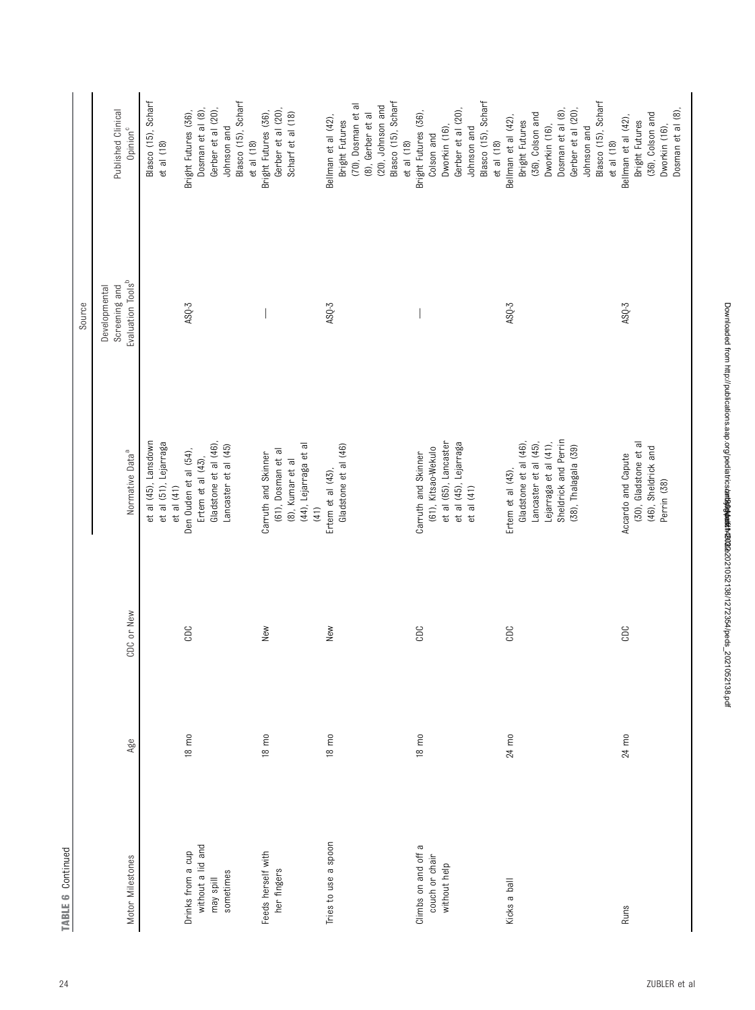|                                        |                 |            |                                                             | Source                                                          |                                            |
|----------------------------------------|-----------------|------------|-------------------------------------------------------------|-----------------------------------------------------------------|--------------------------------------------|
| Motor Milestones                       | Age             | CDC or New | Normative Data <sup>a</sup>                                 | Evaluation Tools <sup>b</sup><br>Screening and<br>Developmental | Published Clinical<br>Opinion <sup>c</sup> |
|                                        |                 |            | et al (45), Lansdown<br>et al (51), Lejarraga<br>et al (41) |                                                                 | Blasco (15), Scharf<br>et al (18)          |
| without a lid and<br>Drinks from a cup | $18 \text{ mO}$ | CDC        | Den Ouden et al (54),<br>Ertem et al (43),                  | $ASQ-3$                                                         | Dosman et al (8)<br>Bright Futures (36),   |
| may spill                              |                 |            | Gladstone et al (46),                                       |                                                                 | Gerber et al (20),                         |
| sometimes                              |                 |            | Lancaster et al (45)                                        |                                                                 | Blasco (15), Scharf<br>Johnson and         |
|                                        |                 |            |                                                             |                                                                 | $et$ al $(18)$                             |
| Feeds herself with                     | 18 mo           | New        | Carruth and Skinner                                         |                                                                 | Bright Futures (36),                       |
| her fingers                            |                 |            | (61), Dosman et al                                          |                                                                 | Gerber et al (20)<br>Scharf et al (18)     |
|                                        |                 |            | (44), Lejarraga et al<br>(8), Kumar et al                   |                                                                 |                                            |
|                                        |                 |            | (41)                                                        |                                                                 |                                            |
| Tries to use a spoon                   | $18 \text{ m0}$ | New        | Gladstone et al (46)<br>Ertem et al $(43)$ ,                | $ASQ-3$                                                         | Bellman et al (42),<br>Bright Futures      |
|                                        |                 |            |                                                             |                                                                 |                                            |
|                                        |                 |            |                                                             |                                                                 | (70), Dosman et al<br>(8), Gerber et al    |
|                                        |                 |            |                                                             |                                                                 | (20), Johnson and                          |
|                                        |                 |            |                                                             |                                                                 | Blasco (15), Scharf                        |
|                                        |                 |            |                                                             |                                                                 | $et$ al $(18)$                             |
| Climbs on and off a                    | $18 \text{ mO}$ | CDC        | Carruth and Skinner                                         |                                                                 | Bright Futures (36),                       |
| couch or chair                         |                 |            | (61), Kitsao-Wekulo                                         |                                                                 | Colson and                                 |
| without help                           |                 |            | et al (65), Lancaster                                       |                                                                 | Dworkin (16)                               |
|                                        |                 |            | et al (45), Lejarraga                                       |                                                                 | Gerber et al (20)                          |
|                                        |                 |            | et al (41)                                                  |                                                                 | Johnson and                                |
|                                        |                 |            |                                                             |                                                                 | Blasco (15), Scharf                        |
|                                        |                 |            |                                                             |                                                                 | et al (18)                                 |
| Kicks a ball                           | 24 mo           | CDC        | Ertem et al $(43)$ ,                                        | ASQ-3                                                           | Bellman et al (42),                        |
|                                        |                 |            | Gladstone et al (46),                                       |                                                                 | Bright Futures                             |
|                                        |                 |            | Lancaster et al (45)                                        |                                                                 | (36), Colson and                           |
|                                        |                 |            | Lejarraga et al (41),                                       |                                                                 | Dworkin (16),                              |
|                                        |                 |            | Sheldrick and Perrin                                        |                                                                 | Dosman et al (8)                           |
|                                        |                 |            | (38), Thalagala (39)                                        |                                                                 | Gerber et al (20),                         |
|                                        |                 |            |                                                             |                                                                 | Johnson and                                |
|                                        |                 |            |                                                             |                                                                 | Blasco (15), Scharf                        |
|                                        |                 |            |                                                             |                                                                 | et al (18)                                 |
| Runs                                   | 24 mo           | CDC        | Accardo and Capute                                          | $ASQ-3$                                                         | Bellman et al (42)                         |
|                                        |                 |            | (30), Gladstone et al                                       |                                                                 | Bright Futures                             |
|                                        |                 |            | (46), Sheldrick and                                         |                                                                 | (36), Colson and                           |
|                                        |                 |            | Perrin (38)                                                 |                                                                 | Dworkin (16),                              |
|                                        |                 |            |                                                             |                                                                 | Dosman et al (8)                           |

TABLE 6 Continued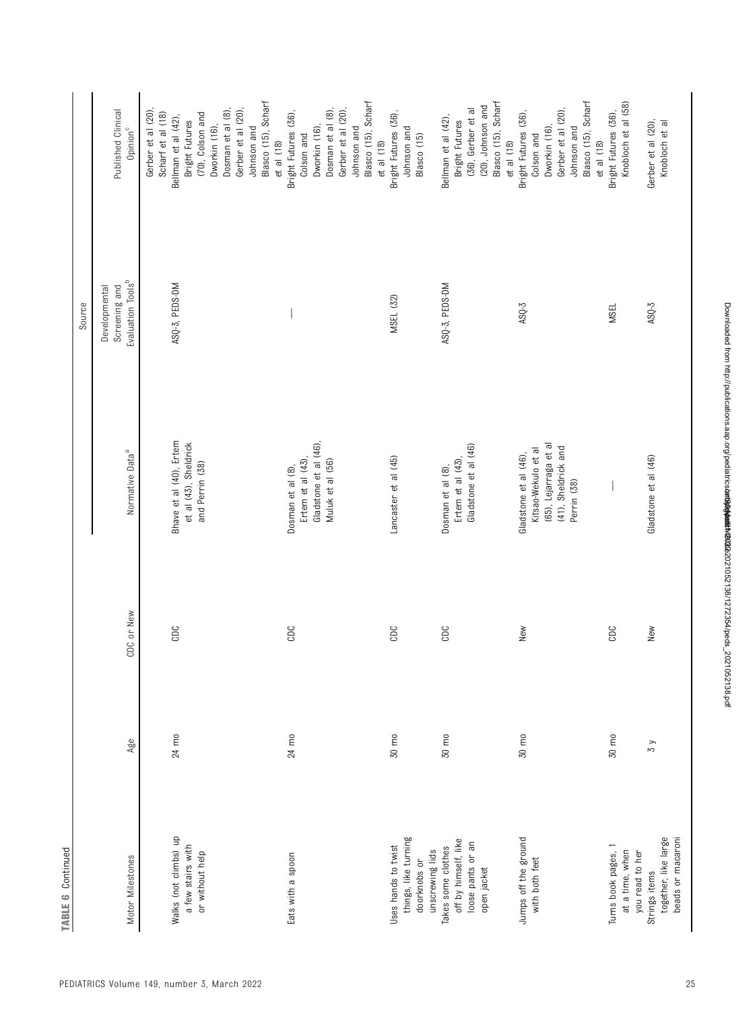| <b>TABLE 6 Continued</b>                   |                 |            |                                                  |                                                                 |                                            |
|--------------------------------------------|-----------------|------------|--------------------------------------------------|-----------------------------------------------------------------|--------------------------------------------|
|                                            |                 |            |                                                  | Source                                                          |                                            |
| Motor Milestones                           | Age             | CDC or New | Normative Data <sup>a</sup>                      | Evaluation Tools <sup>b</sup><br>Screening and<br>Developmental | Published Clinical<br>Opinion <sup>c</sup> |
|                                            |                 |            |                                                  |                                                                 |                                            |
|                                            |                 |            |                                                  |                                                                 | Gerber et al (20)<br>Scharf et al (18)     |
| Walks (not climbs) up<br>a few stairs with | 24 mo           | CDC        | Bhave et al (40), Ertem<br>et al (43), Sheldrick | ASQ-3, PEDS-DM                                                  | Bellman et al (42),<br>Bright Futures      |
| or without help                            |                 |            | and Perrin (38)                                  |                                                                 | (70), Colson and                           |
|                                            |                 |            |                                                  |                                                                 | Dosman et al (8),<br>Dworkin (16),         |
|                                            |                 |            |                                                  |                                                                 | Gerber et al (20),                         |
|                                            |                 |            |                                                  |                                                                 | Johnson and                                |
|                                            |                 |            |                                                  |                                                                 | Blasco (15), Scharf                        |
|                                            |                 |            |                                                  |                                                                 | et al (18)                                 |
| Eats with a spoon                          | 24 mo           | CDC        | Dosman et al (8),                                |                                                                 | Bright Futures (36),                       |
|                                            |                 |            | Ertem et al (43)                                 |                                                                 | Colson and                                 |
|                                            |                 |            | Gladstone et al (46),                            |                                                                 | Dworkin (16)                               |
|                                            |                 |            | Muluk et al (56)                                 |                                                                 | Dosman et al (8),                          |
|                                            |                 |            |                                                  |                                                                 | Gerber et al (20),                         |
|                                            |                 |            |                                                  |                                                                 | Johnson and                                |
|                                            |                 |            |                                                  |                                                                 | Blasco (15), Scharf                        |
|                                            |                 |            |                                                  |                                                                 | et al (18)                                 |
| Uses hands to twist                        | 30 mo           | CDC        | Lancaster et al (45)                             | <b>MSEL (32)</b>                                                | Bright Futures (36),                       |
| things, like turning                       |                 |            |                                                  |                                                                 | Johnson and                                |
| unscrewing lids<br>doorknobs or            |                 |            |                                                  |                                                                 | Blasco (15)                                |
| Takes some clothes                         | $30 \text{ mo}$ | CDC        | Dosman et al (8),                                | ASQ-3, PEDS-DM                                                  | Bellman et al (42),                        |
| off by himself, like                       |                 |            | Ertem et al $(43)$ ,                             |                                                                 | Bright Futures                             |
| loose pants or an                          |                 |            | Gladstone et al (46)                             |                                                                 | (36), Gerber et al                         |
| open jacket                                |                 |            |                                                  |                                                                 | (20), Johnson and                          |
|                                            |                 |            |                                                  |                                                                 | Blasco (15), Scharf                        |
|                                            |                 |            |                                                  |                                                                 | et al (18)                                 |
| Jumps off the ground                       | 30 mo           | New        | Gladstone et al (46),                            | $ASQ-3$                                                         | Bright Futures (36),                       |
| with both feet                             |                 |            | Kitsao-Wekulo et al                              |                                                                 | Colson and                                 |
|                                            |                 |            | (65), Lejarraga et al                            |                                                                 | Dworkin (16)                               |
|                                            |                 |            | (41), Sheldrick and                              |                                                                 | Gerber et al (20),                         |
|                                            |                 |            | Perrin (38)                                      |                                                                 | Johnson and                                |
|                                            |                 |            |                                                  |                                                                 | Blasco (15), Scharf                        |
|                                            |                 |            |                                                  |                                                                 | et al (18)                                 |
| Turns book pages, 1                        | $30 \text{ mo}$ | CDC        |                                                  | <b>MSEL</b>                                                     | Bright Futures (36),                       |
| at a time, when                            |                 |            |                                                  |                                                                 | Knobloch et al (58)                        |
| you read to her<br>Strings items           | $\frac{2}{3}$   | New        | Gladstone et al (46)                             | $ASQ-3$                                                         | Gerber et al (20),                         |
| together, like large                       |                 |            |                                                  |                                                                 | Knobloch et al                             |
| beads or macaroni                          |                 |            |                                                  |                                                                 |                                            |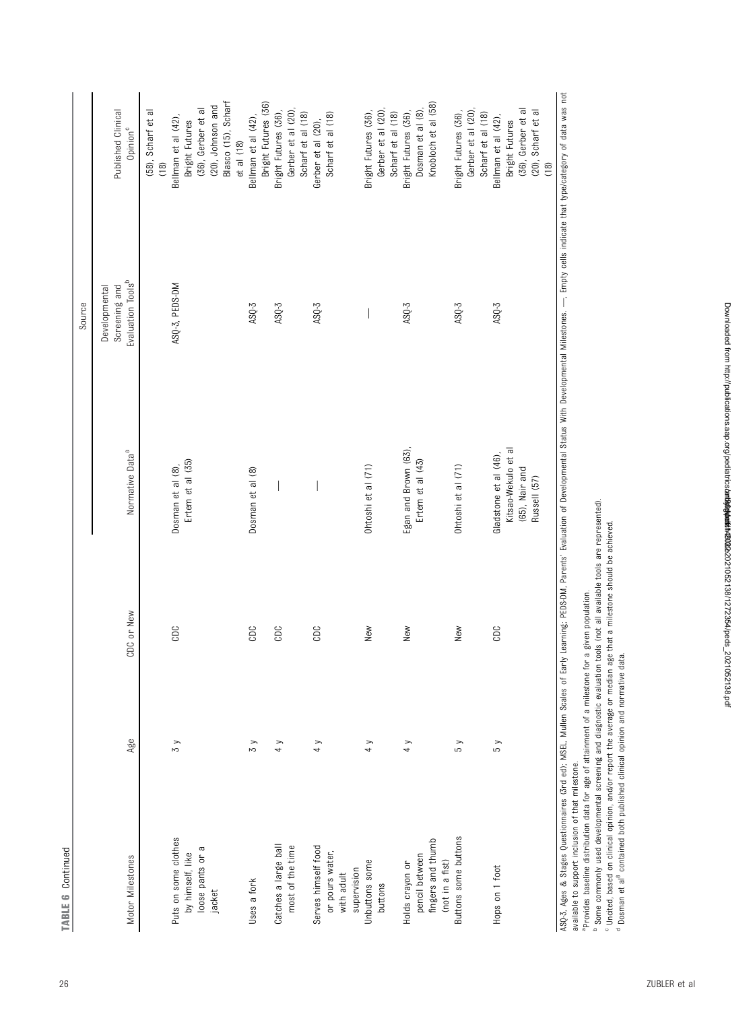| Š | ٠ |
|---|---|
|   |   |
|   |   |
|   |   |
|   |   |
|   |   |
|   |   |

|                                                                     |               |            |                                                                                                                                                                                                                                | Source                                                          |                                                                 |
|---------------------------------------------------------------------|---------------|------------|--------------------------------------------------------------------------------------------------------------------------------------------------------------------------------------------------------------------------------|-----------------------------------------------------------------|-----------------------------------------------------------------|
| Motor Milestones                                                    | Age           | CDC or New | Normative Data <sup>a</sup>                                                                                                                                                                                                    | Evaluation Tools <sup>b</sup><br>Screening and<br>Developmental | Published Clinical<br>Opinion <sup>c</sup>                      |
| Puts on some clothes                                                | $\zeta$       | CDC        | Dosman et al (8),                                                                                                                                                                                                              | ASQ-3, PEDS-DM                                                  | (58), Scharf et al<br>Bellman et al (42),<br>(18)               |
| loose pants or a<br>by himself, like<br>jacket                      |               |            | Ertem et al (35)                                                                                                                                                                                                               |                                                                 | (20), Johnson and<br>(36), Gerber et al<br>Bright Futures       |
|                                                                     |               |            |                                                                                                                                                                                                                                |                                                                 | Blasco (15), Scharf<br>$et$ al $(18)$                           |
| Uses a fork                                                         | $\frac{8}{3}$ | CDC        | Dosman et al (8)                                                                                                                                                                                                               | $ASQ-3$                                                         | Bright Futures (36)<br>Bellman et al (42),                      |
| Catches a large ball<br>most of the time                            | 4y            | CDC        |                                                                                                                                                                                                                                | $ASQ-3$                                                         | Gerber et al (20),<br>Bright Futures (36)                       |
|                                                                     |               |            |                                                                                                                                                                                                                                |                                                                 | Scharf et al (18)                                               |
| Serves himself food<br>or pours water,<br>supervision<br>with adult | 4 y           | CDC        |                                                                                                                                                                                                                                | $ASQ-3$                                                         | Scharf et al (18)<br>Gerber et al (20),                         |
| Unbuttons some<br>buttons                                           | 4y            | New        | Ohtoshi et al (71)                                                                                                                                                                                                             |                                                                 | Bright Futures (36),<br>Gerber et al (20)                       |
|                                                                     |               |            |                                                                                                                                                                                                                                |                                                                 | Scharf et al (18)                                               |
| fingers and thumb<br>pencil between<br>Holds crayon or              | 4y            | New        | Egan and Brown (63),<br>Ertem et al (43)                                                                                                                                                                                       | $ASQ-3$                                                         | Knobloch et al (58)<br>Dosman et al (8),<br>Bright Futures (36) |
| Buttons some buttons<br>(not in a fist)                             | 5y            | New        | Ohtoshi et al (71)                                                                                                                                                                                                             | $ASQ-3$                                                         | Gerber et al (20),<br>Bright Futures (36),                      |
| Hops on 1 foot                                                      | 5y            | CDC        | Gladstone et al (46),                                                                                                                                                                                                          | $ASQ-3$                                                         | Scharf et al (18)<br>Bellman et al (42),                        |
|                                                                     |               |            | Kitsao-Wekulo et al<br>(65), Nair and                                                                                                                                                                                          |                                                                 | (36), Gerber et al<br>Bright Futures                            |
|                                                                     |               |            | Russell (57)                                                                                                                                                                                                                   |                                                                 | (20), Scharf et al<br>(18)                                      |
|                                                                     |               |            | ASQ-3, Ages & Stages Questionnaires (3rd ed); MSEL, Mullen Scales of Early Learning; PEDS-DM, Parents' Evaluation of Developmental Status With Developmental Milestones. --, Empty cells indicate that type/category of data w |                                                                 |                                                                 |

ASD-3. A&es & Sta&es Ouestionnaires (3rd ed): MSEL. Mullen Scales of Early Learning: PEDS-DM. Parents Evaluation of Develoomental Status Willestones. — Empty cells indicate that type/category of data was not ASQ-3, Ages & Stages Questionnaires (3rd ed); MSEL, Mullen Scales of Early Learning; PEDS-DM, Parents' Evaluation of Developmental Status With Developmental Milestones. -<br>available to support inclusion of that milestone.<br>" available to support inclusion of that milestone.

aProvides baseline distribution data for age of attainment of a milestone for a given population.

bc d Some commonly used developmental screening and diagnostic evaluation tools (not all available tools are represented).

Uncited, based on clinical opinion, and/or report the average or median age that a milestone should be achieved.

<sup>d</sup> Dosman et al<sup>[8](#page-26-0)</sup> contained both published clinical opinion and normative data.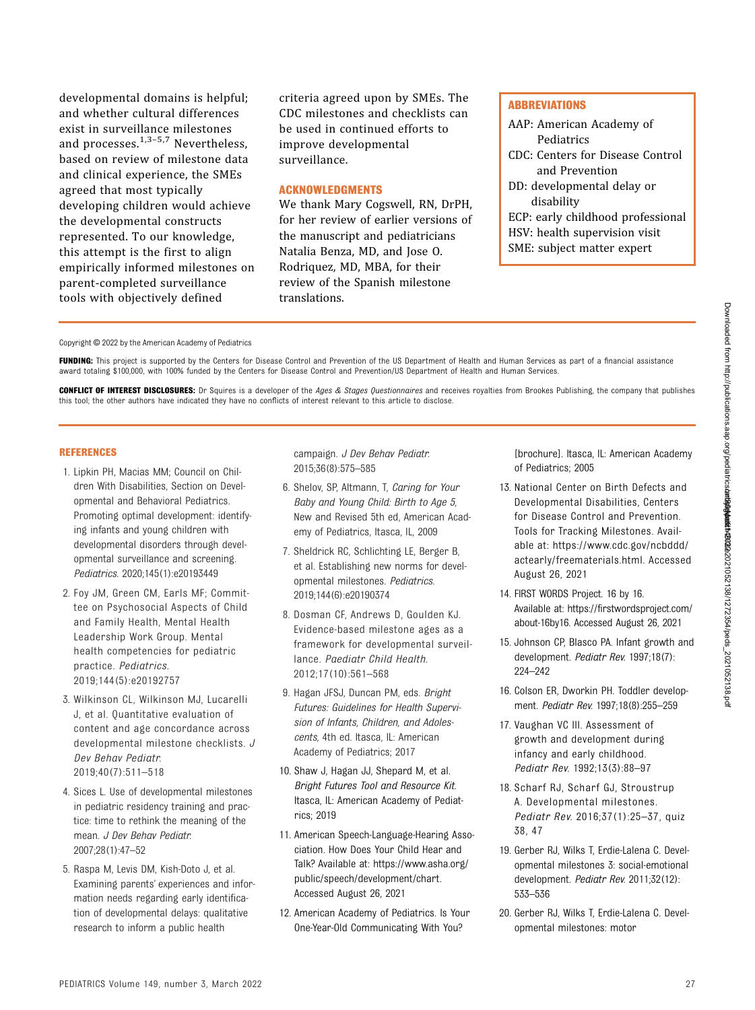<span id="page-26-0"></span>developmental domains is helpful; and whether cultural differences exist in surveillance milestones and processes. $1,3-5,7$  Nevertheless, based on review of milestone data and clinical experience, the SMEs agreed that most typically developing children would achieve the developmental constructs represented. To our knowledge, this attempt is the first to align empirically informed milestones on parent-completed surveillance tools with objectively defined

criteria agreed upon by SMEs. The CDC milestones and checklists can be used in continued efforts to improve developmental surveillance.

#### ACKNOWLEDGMENTS

We thank Mary Cogswell, RN, DrPH, for her review of earlier versions of the manuscript and pediatricians Natalia Benza, MD, and Jose O. Rodriquez, MD, MBA, for their review of the Spanish milestone translations.

#### **ABBREVIATIONS**

AAP: American Academy of Pediatrics CDC: Centers for Disease Control and Prevention DD: developmental delay or disability ECP: early childhood professional HSV: health supervision visit SME: subject matter expert

Copyright © 2022 by the American Academy of Pediatrics

FUNDING: This project is supported by the Centers for Disease Control and Prevention of the US Department of Health and Human Services as part of a financial assistance award totaling \$100,000, with 100% funded by the Centers for Disease Control and Prevention/US Department of Health and Human Services.

CONFLICT OF INTEREST DISCLOSURES: Dr Squires is a developer of the Ages & Stages Questionnaires and receives royalties from Brookes Publishing, the company that publishes this tool; the other authors have indicated they have no conflicts of interest relevant to this article to disclose.

#### REFERENCES

- 1. Lipkin PH, Macias MM; Council on Children With Disabilities, Section on Developmental and Behavioral Pediatrics. Promoting optimal development: identifying infants and young children with developmental disorders through developmental surveillance and screening. Pediatrics. 2020;145(1):e20193449
- 2. Foy JM, Green CM, Earls MF; Committee on Psychosocial Aspects of Child and Family Health, Mental Health Leadership Work Group. Mental health competencies for pediatric practice. Pediatrics. 2019;144(5):e20192757
- 3. Wilkinson CL, Wilkinson MJ, Lucarelli J, et al. Quantitative evaluation of content and age concordance across developmental milestone checklists. J Dev Behav Pediatr. 2019;40(7):511–518
- 4. Sices L. Use of developmental milestones in pediatric residency training and practice: time to rethink the meaning of the mean. J Dev Behav Pediatr. 2007;28(1):47–52
- 5. Raspa M, Levis DM, Kish-Doto J, et al. Examining parents' experiences and information needs regarding early identification of developmental delays: qualitative research to inform a public health

campaign. J Dev Behav Pediatr. 2015;36(8):575–585

- 6. Shelov, SP, Altmann, T, Caring for Your Baby and Young Child: Birth to Age 5, New and Revised 5th ed, American Academy of Pediatrics, Itasca, IL, 2009
- 7. Sheldrick RC, Schlichting LE, Berger B, et al. Establishing new norms for developmental milestones. Pediatrics. 2019;144(6):e20190374
- 8. Dosman CF, Andrews D, Goulden KJ. Evidence-based milestone ages as a framework for developmental surveillance. Paediatr Child Health. 2012;17(10):561–568
- 9. Hagan JFSJ, Duncan PM, eds. Bright Futures: Guidelines for Health Supervision of Infants, Children, and Adolescents, 4th ed. Itasca, IL: American Academy of Pediatrics; 2017
- 10. Shaw J, Hagan JJ, Shepard M, et al. Bright Futures Tool and Resource Kit. Itasca, IL: American Academy of Pediatrics; 2019
- 11. American Speech-Language-Hearing Association. How Does Your Child Hear and Talk? Available at: [https://www.asha.org/](https://www.asha.org/public/speech/development/chart) [public/speech/development/chart.](https://www.asha.org/public/speech/development/chart) Accessed August 26, 2021
- 12. American Academy of Pediatrics. Is Your One-Year-Old Communicating With You?

[brochure]. Itasca, IL: American Academy of Pediatrics; 2005

- 13. National Center on Birth Defects and Developmental Disabilities, Centers for Disease Control and Prevention. Tools for Tracking Milestones. Available at: [https://www.cdc.gov/ncbddd/](https://www.cdc.gov/ncbddd/actearly/freematerials.html) [actearly/freematerials.html](https://www.cdc.gov/ncbddd/actearly/freematerials.html). Accessed August 26, 2021
- 14. FIRST WORDS Project. 16 by 16. Available at: [https://firstwordsproject.com/](https://firstwordsproject.com/about-16by16) [about-16by16.](https://firstwordsproject.com/about-16by16) Accessed August 26, 2021
- 15. Johnson CP, Blasco PA. Infant growth and development. Pediatr Rev. 1997;18(7): 224–242
- 16. Colson ER, Dworkin PH. Toddler development. Pediatr Rev. 1997;18(8):255–259
- 17. Vaughan VC III. Assessment of growth and development during infancy and early childhood. Pediatr Rev. 1992;13(3):88–97
- 18. Scharf RJ, Scharf GJ, Stroustrup A. Developmental milestones. Pediatr Rev. 2016;37(1):25–37, quiz 38, 47
- 19. Gerber RJ, Wilks T, Erdie-Lalena C. Developmental milestones 3: social-emotional development. Pediatr Rev. 2011;32(12): 533–536
- 20. Gerber RJ, Wilks T, Erdie-Lalena C. Developmental milestones: motor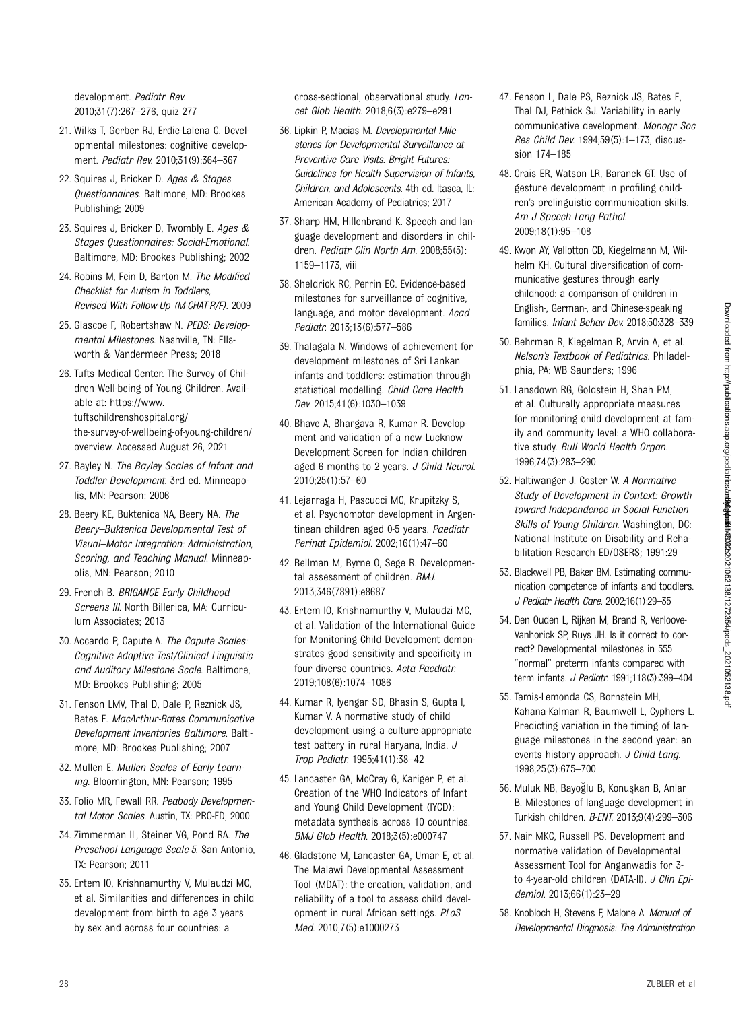50. Behrman R, Kiegelman R, Arvin A, et al. Nelson's Textbook of Pediatrics. Philadelphia, PA: WB Saunders; 1996

47. Fenson L, Dale PS, Reznick JS, Bates E, Thal DJ, Pethick SJ. Variability in early

sion 174–185

2009;18(1):95–108

- 51. Lansdown RG, Goldstein H, Shah PM, et al. Culturally appropriate measures for monitoring child development at family and community level: a WHO collaborative study. Bull World Health Organ. 1996;74(3):283–290
- 52. Haltiwanger J, Coster W. A Normative Study of Development in Context: Growth toward Independence in Social Function Skills of Young Children. Washington, DC: National Institute on Disability and Rehabilitation Research ED/OSERS; 1991:29

Downloaded from http://publications.aap.org/pediatrics**/art/20/2**021052138/1272354/1peds\_2021052138.pdf Downloaded from http://publications.aap.org/pediatrics/article-pdf/149/3/e2021052138/1272354/peds\_2021052138.pdf by guest on 30 March 2022

- 53. Blackwell PB, Baker BM. Estimating communication competence of infants and toddlers. J Pediatr Health Care. 2002;16(1):29–35
- 54. Den Ouden L, Rijken M, Brand R, Verloove-Vanhorick SP, Ruys JH. Is it correct to correct? Developmental milestones in 555 "normal" preterm infants compared with term infants. J Pediatr. 1991;118(3):399–404
- 55. Tamis-Lemonda CS, Bornstein MH, Kahana-Kalman R, Baumwell L, Cyphers L. Predicting variation in the timing of language milestones in the second year: an events history approach. J Child Lang. 1998;25(3):675–700
- 56. Muluk NB, Bayoğlu B, Konuşkan B, Anlar B. Milestones of language development in Turkish children. B-ENT. 2013;9(4):299–306
- 57. Nair MKC, Russell PS. Development and normative validation of Developmental Assessment Tool for Anganwadis for 3 to 4-year-old children (DATA-II). J Clin Epidemiol. 2013;66(1):23–29
- 58. Knobloch H, Stevens F, Malone A. Manual of Developmental Diagnosis: The Administration

<span id="page-27-0"></span>development. Pediatr Rev. 2010;31(7):267–276, quiz 277

- 21. Wilks T, Gerber RJ, Erdie-Lalena C. Developmental milestones: cognitive development. Pediatr Rev. 2010;31(9):364–367
- 22. Squires J, Bricker D. Ages & Stages Questionnaires. Baltimore, MD: Brookes Publishing; 2009
- 23. Squires J, Bricker D, Twombly E. Ages & Stages Questionnaires: Social-Emotional. Baltimore, MD: Brookes Publishing; 2002
- 24. Robins M, Fein D, Barton M. The Modified Checklist for Autism in Toddlers, Revised With Follow-Up (M-CHAT-R/F). 2009
- 25. Glascoe F, Robertshaw N. PEDS: Developmental Milestones. Nashville, TN: Ellsworth & Vandermeer Press; 2018
- 26. Tufts Medical Center. The Survey of Children Well-being of Young Children. Available at: [https://www.](https://www.tuftschildrenshospital.org/the-survey-of-wellbeing-of-young-children/overview) [tuftschildrenshospital.org/](https://www.tuftschildrenshospital.org/the-survey-of-wellbeing-of-young-children/overview) [the-survey-of-wellbeing-of-young-children/](https://www.tuftschildrenshospital.org/the-survey-of-wellbeing-of-young-children/overview) [overview.](https://www.tuftschildrenshospital.org/the-survey-of-wellbeing-of-young-children/overview) Accessed August 26, 2021
- 27. Bayley N. The Bayley Scales of Infant and Toddler Development. 3rd ed. Minneapolis, MN: Pearson; 2006
- 28. Beery KE, Buktenica NA, Beery NA. The Beery–Buktenica Developmental Test of Visual–Motor Integration: Administration, Scoring, and Teaching Manual. Minneapolis, MN: Pearson; 2010
- 29. French B. BRIGANCE Early Childhood Screens III. North Billerica, MA: Curriculum Associates; 2013
- 30. Accardo P, Capute A. The Capute Scales: Cognitive Adaptive Test/Clinical Linguistic and Auditory Milestone Scale. Baltimore, MD: Brookes Publishing; 2005
- 31. Fenson LMV, Thal D, Dale P, Reznick JS, Bates E. MacArthur-Bates Communicative Development Inventories Baltimore. Baltimore, MD: Brookes Publishing; 2007
- 32. Mullen E. Mullen Scales of Early Learning. Bloomington, MN: Pearson; 1995
- 33. Folio MR, Fewall RR. Peabody Developmental Motor Scales. Austin, TX: PRO-ED; 2000
- 34. Zimmerman IL, Steiner VG, Pond RA. The Preschool Language Scale-5. San Antonio, TX: Pearson; 2011
- 35. Ertem IO, Krishnamurthy V, Mulaudzi MC, et al. Similarities and differences in child development from birth to age 3 years by sex and across four countries: a

cross-sectional, observational study. Lancet Glob Health. 2018;6(3):e279–e291

- 36. Lipkin P, Macias M. Developmental Milestones for Developmental Surveillance at Preventive Care Visits. Bright Futures: Guidelines for Health Supervision of Infants, Children, and Adolescents. 4th ed. Itasca, IL: American Academy of Pediatrics; 2017
- 37. Sharp HM, Hillenbrand K. Speech and language development and disorders in children. Pediatr Clin North Am. 2008;55(5): 1159–1173, viii
- 38. Sheldrick RC, Perrin EC. Evidence-based milestones for surveillance of cognitive, language, and motor development. Acad Pediatr. 2013;13(6):577–586
- 39. Thalagala N. Windows of achievement for development milestones of Sri Lankan infants and toddlers: estimation through statistical modelling. Child Care Health Dev. 2015;41(6):1030–1039
- 40. Bhave A, Bhargava R, Kumar R. Development and validation of a new Lucknow Development Screen for Indian children aged 6 months to 2 years. J Child Neurol. 2010;25(1):57–60
- 41. Lejarraga H, Pascucci MC, Krupitzky S, et al. Psychomotor development in Argentinean children aged 0-5 years. Paediatr Perinat Epidemiol. 2002;16(1):47–60
- 42. Bellman M, Byrne O, Sege R. Developmental assessment of children. BMJ. 2013;346(7891):e8687
- 43. Ertem IO, Krishnamurthy V, Mulaudzi MC, et al. Validation of the International Guide for Monitoring Child Development demonstrates good sensitivity and specificity in four diverse countries. Acta Paediatr. 2019;108(6):1074–1086
- 44. Kumar R, Iyengar SD, Bhasin S, Gupta I, Kumar V. A normative study of child development using a culture-appropriate test battery in rural Haryana, India. J Trop Pediatr. 1995;41(1):38–42
- 45. Lancaster GA, McCray G, Kariger P, et al. Creation of the WHO Indicators of Infant and Young Child Development (IYCD): metadata synthesis across 10 countries. BMJ Glob Health. 2018;3(5):e000747
- 46. Gladstone M, Lancaster GA, Umar E, et al. The Malawi Developmental Assessment Tool (MDAT): the creation, validation, and reliability of a tool to assess child development in rural African settings. PLoS Med. 2010;7(5):e1000273